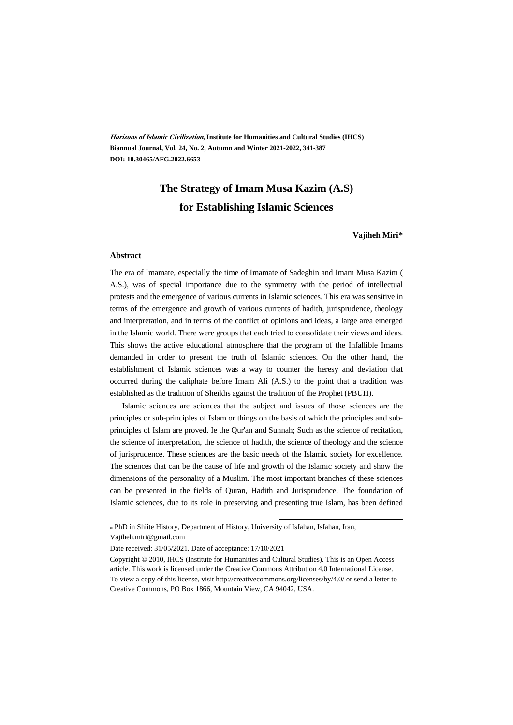**Horizons of Islamic Civilization, Institute for Humanities and Cultural Studies (IHCS) Biannual Journal, Vol. 24, No. 2, Autumn and Winter 2021-2022, 341-387 DOI: 10.30465/AFG.2022.6653**

### **The Strategy of Imam Musa Kazim (A.S) for Establishing Islamic Sciences**

**Vajiheh Miri\*\***

#### **Abstract**

The era of Imamate, especially the time of Imamate of Sadeghin and Imam Musa Kazim ( A.S.), was of special importance due to the symmetry with the period of intellectual protests and the emergence of various currents in Islamic sciences. This era was sensitive in terms of the emergence and growth of various currents of hadith, jurisprudence, theology and interpretation, and in terms of the conflict of opinions and ideas, a large area emerged in the Islamic world. There were groups that each tried to consolidate their views and ideas. This shows the active educational atmosphere that the program of the Infallible Imams demanded in order to present the truth of Islamic sciences. On the other hand, the establishment of Islamic sciences was a way to counter the heresy and deviation that occurred during the caliphate before Imam Ali (A.S.) to the point that a tradition was established as the tradition of Sheikhs against the tradition of the Prophet (PBUH).

Islamic sciences are sciences that the subject and issues of those sciences are the principles or sub-principles of Islam or things on the basis of which the principles and subprinciples of Islam are proved. Ie the Qur'an and Sunnah; Such as the science of recitation, the science of interpretation, the science of hadith, the science of theology and the science of jurisprudence. These sciences are the basic needs of the Islamic society for excellence. The sciences that can be the cause of life and growth of the Islamic society and show the dimensions of the personality of a Muslim. The most important branches of these sciences can be presented in the fields of Quran, Hadith and Jurisprudence. The foundation of Islamic sciences, due to its role in preserving and presenting true Islam, has been defined

.

\* PhD in Shiite History, Department of History, University of Isfahan, Isfahan, Iran, Vajiheh.miri@gmail.com

Date received: 31/05/2021, Date of acceptance: 17/10/2021

Copyright © 2010, IHCS (Institute for Humanities and Cultural Studies). This is an Open Access article. This work is licensed under the Creative Commons Attribution 4.0 International License. To view a copy of this license, visit http://creativecommons.org/licenses/by/4.0/ or send a letter to Creative Commons, PO Box 1866, Mountain View, CA 94042, USA.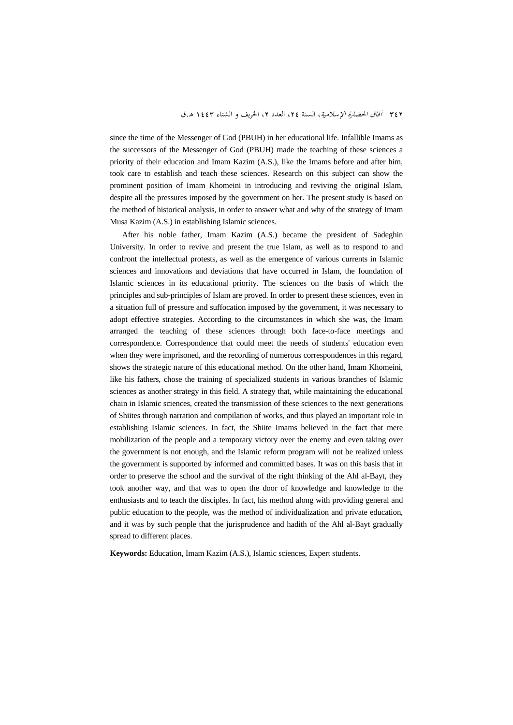since the time of the Messenger of God (PBUH) in her educational life. Infallible Imams as the successors of the Messenger of God (PBUH) made the teaching of these sciences a priority of their education and Imam Kazim (A.S.), like the Imams before and after him, took care to establish and teach these sciences. Research on this subject can show the prominent position of Imam Khomeini in introducing and reviving the original Islam, despite all the pressures imposed by the government on her. The present study is based on the method of historical analysis, in order to answer what and why of the strategy of Imam Musa Kazim (A.S.) in establishing Islamic sciences.

After his noble father, Imam Kazim (A.S.) became the president of Sadeghin University. In order to revive and present the true Islam, as well as to respond to and confront the intellectual protests, as well as the emergence of various currents in Islamic sciences and innovations and deviations that have occurred in Islam, the foundation of Islamic sciences in its educational priority. The sciences on the basis of which the principles and sub-principles of Islam are proved. In order to present these sciences, even in a situation full of pressure and suffocation imposed by the government, it was necessary to adopt effective strategies. According to the circumstances in which she was, the Imam arranged the teaching of these sciences through both face-to-face meetings and correspondence. Correspondence that could meet the needs of students' education even when they were imprisoned, and the recording of numerous correspondences in this regard, shows the strategic nature of this educational method. On the other hand, Imam Khomeini, like his fathers, chose the training of specialized students in various branches of Islamic sciences as another strategy in this field. A strategy that, while maintaining the educational chain in Islamic sciences, created the transmission of these sciences to the next generations of Shiites through narration and compilation of works, and thus played an important role in establishing Islamic sciences. In fact, the Shiite Imams believed in the fact that mere mobilization of the people and a temporary victory over the enemy and even taking over the government is not enough, and the Islamic reform program will not be realized unless the government is supported by informed and committed bases. It was on this basis that in order to preserve the school and the survival of the right thinking of the Ahl al-Bayt, they took another way, and that was to open the door of knowledge and knowledge to the enthusiasts and to teach the disciples. In fact, his method along with providing general and public education to the people, was the method of individualization and private education, and it was by such people that the jurisprudence and hadith of the Ahl al-Bayt gradually spread to different places.

**Keywords:** Education, Imam Kazim (A.S.), Islamic sciences, Expert students.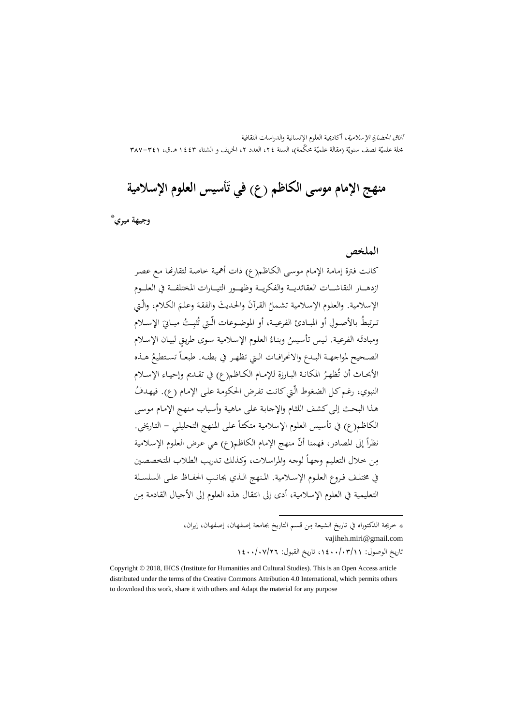آفاق الحضارة الإسلامية، أكاديمية العلوم الإنسانية والدراسات الثقافية بحلة علميّة نصف سنويّة (مقالة علميّة محکّمة)، السنة ٢٤، العدد ٢، الخريف و الشتاء ١٤٤٣ هـ.ق، ٣٨٧–٣٨٧

# **َ منهج الإمام موسی الکاظم (ع) أسيس العلوم الإسلامية في ت**

† \* **وجيهة ميري**

**الملخص**

كانـت فـترة إمامـة الإمـام موسـى الكـاظم(ع) ذات أهميـة خاصـة لتقارĔـا مـع عصـر ازدهــــار النقاشــــات العقائديــــة والفكريــــة وظهــــور التيــــارات المختلفــــة في العلــــوم الإسلامية. والعلوم الإسلامية تشملُ القرآنَ والحديثَ والفقهَ وعلـمَ الكلام، والَّـتي<br>\* َ ُ تــرتبط ، الإســ ِ بالأصــول أو المبــادئ الفرعيــة ــت مبــاني ُ ِ أو الموضــوعات الّــتي ت لام ُثب ومبادئَه الفرعية. ليس تأسيسُ وبناءُ العلوم الإسلامية سوى طريقٍ لبيان الإسلام<br>-الصـحيح لمواجهـة البـدع والانحرافـات الـتي تظهـر في بطنـه. طبعـاً تسـتطيعُ هـذه الأبحـاث أن تُظهـرُ المكانـة البـارزة للإمـام الكــاظـم(ع) في تقــديم وإحيـاء الإسـلام<br>. النبوي، رغم كل الضغوط الّتي كانت تفرض الحكومة على الإمام (ع). فيهدفُ هـذا البحـث إلـیکشـف اللثـام والإجابـة علـى ماهيـة وأسـباب مـنهج الإمـام موسـى الكاظم(ع) في تأسيس العلوم الإسلامية متكئاً على المنهج التحليلي – التاريخي. نظراً إلى المصادر، فهمنا أنّ منهج الإمام الكاظم(ع) هي عرض العلوم الإسلامية مِن خلال التعليم وجهـاً لوجه والمراسلات، وكذلك تدريب الطلاب المتخصصين في مختلــف فــروع العلــوم الإســلامية. المــنهج الــذي ِ بجانــب الحفــاظ علــى السلســلة التعليمية في العلوم الإسلامية، أدى إلى انتقال هذه العلوم إلى الأجيال القادمة مِن

> \* خريجة الدكتوراه في تاريخ الشيعة مِن قسم التاريخ بجامعة إصفهان، إصفهان، إيران، vajiheh.miri@gmail.com تاريخ الوصول: ،1400/03/11 تاريخ القبول: 1400/07/26

.

Copyright © 2018, IHCS (Institute for Humanities and Cultural Studies). This is an Open Access article distributed under the terms of the Creative Commons Attribution 4.0 International, which permits others to download this work, share it with others and Adapt the material for any purpose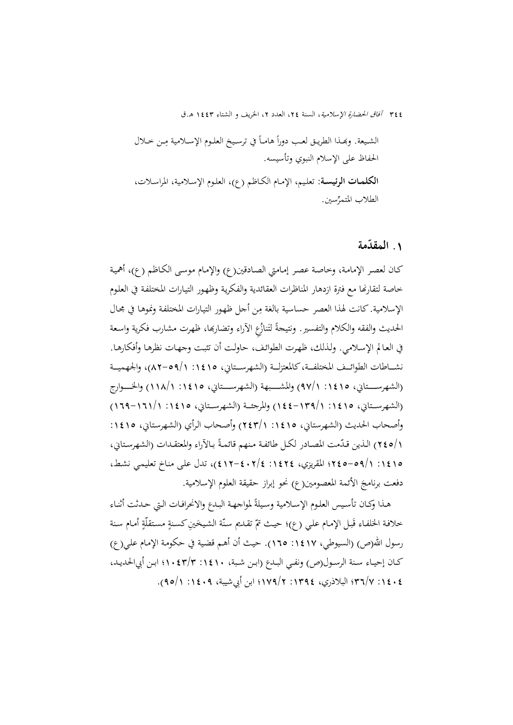ِ الشــيعة. وđــذا الطريــق لعــب دورا ــن خــلال ً ً في ترســيخ العلــوم الإســلامية م هامــا الحفاظ على الإسلام النبوي وتأسيسه. **الکلمـات الرئيسـة:** تعلـيم، الإمـام الكـاظم (ع)، العلـوم الإسـلامية، المراسـلات، الطلاب المتمر ِّسين.

# **المقدمة ّ .**1

كـان لعصـر الإمامـة، وخاصـة عصـر إمـامتي الصـادقين(ع) والإمـام موسـى الكـاظم (ع)، أهميـة خاصة لتقارضا مع فترة ازدهار المناظرات العقائدية والفكرية وظهور التيـارات المختلفة في العلوم الإسلامية. كانت لهذا العصر حساسية بالغة مِن أحل ظهور التيارات المختلفة ونموهـا في مجـال الحديث والفقه والكلام والتفسير. ونتيجةً لتَنازُعِ الأراء وتضاربها، ظهرت مشارب فكرية واسعة في العـالم الإسـلامي. ولـذلك، ظهـرت الطوائـف، حاولـت أن تثبـت وجهـات نظرهـا وأفكارهـا. نشـــاطات الطوائــف المختلفــة،كالمعتزلــة (الشهرســتاني، ١٤١٥: ١/٩٥-٨٢)، والجهميــة (الشهرســـتاني، ١٤١٥: ٩٧/١) والمشـــبهة (الشهرســـتاني، ١٤١٥: ١١٨/١) والخـــوارج (الشهرســـتاني، :1415 144-139/1) والمرجئـــة (الشهرســـتاني، :1415 169-161/1) وأصحاب الحديث (الشهرستاني، ١٤١٥: ٢٤٣/١) وأصحاب الرأي (الشهرستاني، ١٤١٥: 1/010) الـذين قـدّمت المصـادر لكـل طائفـة مـنهم قائمـةً بـالآراء والمعتقـدات (الشهرسـتاني، :1415 245-59/1؛ المقريزي، :1424 412-402/4)، تدل علـى منـاخ تعليمـي نشـط، دفعت برنامجَ الأئمة المعصومين(ع) نحو إبراز حقيقة العلوم الإسلامية.

هـذا وكـان تأسـيس العلـوم الإسـلامية وسـيلةً لمواجـهـة البـدع والانحرافـات الـتي حـدثت أثنـاء خلافة الخلفـاء قَبـل الإمـام علـي (ع)؛ حيـث تمّ تقـديم سنّة الشـيخينِ كسـنةٍ مستقلّةٍ أمـام سنة رسول الله(ص) (السيوطي، ١٤١٧: ١٦٥). حيث أن أهـم قضية في حكومة الإمام علـي(ع) كــان إحيــاء ســنة الرســول(ص) ونفــي البــدع (ابــن شــبة، :1410 1043/3؛ ابــن أبيالحديــد، :1404 36/7؛ البلاذري، :1394 179/2؛ ابن أبيشيبة، :1409 95/1).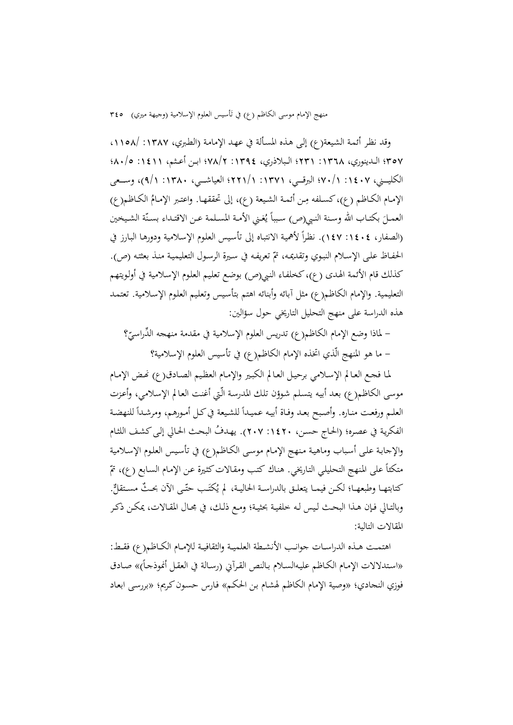منهج الإمام موسى الكاظم (ع) في تأسيس العلوم الإسلامية (وجيهة ميري) ٣٤٥

وقد نظـر أئمـة الشـيعة(ع) إلـی هـذه المسـألة في عهـد الإمامـة (الطـبري، :1387 ،1158/ 357؛ الــدينوري، :1368 231؛ الــبلاذري، :1394 78/2؛ ابــن أعــثم، :1411 80/5؛ الکليـــني، ١٤٠٧ / ٢٠/١؛ البرقـــي، ١٣٧١: ١/٢١٢؛ العياشـــي، ١٣٨٠: ٩/١)، وســعى الإمـام الكـاظم (ع)، كسـلفه مِن أئمـة الشـيعة (ع)، إلى تحققهـا. واعتـبر الإمـامُ الكـاظم(ع) العمـلَ بكتـاب الله وسـنة النبي(ص) سبباً يُغـني الأمـة المسـلمة عـن الاقتـداء بسـنّة الشـيخين<br>-(الصفار، ١٤٠٤: ١٤٧). نظراً لأهمية الانتباه إلى تأسيس العلوم الإسلامية ودورهـا البـارز في الحفـاظ علـى الإسـلام النبـوي وتقديمـه، تمّ تعريفـه في سـيرة الرسـول التعليميـة منـذ بعثتـه (ص). کذلك قام الأئمة الهـدی (ع)،کخلفـاء النـبي(ص) بوضـع تعلـيم العلـوم الإسـلامية في أولـويتهم التعليمية. والإمام الكاظم(ع) مثل آبائه وأبنائه اهتم بتأسـيس وتعلـيم العلـوم الإسـلامية. تعتمـد هذه الدراسة على منهج التحليل التاريخي حول سؤالين:

– لماذا وضع الإمام الكاظم(ع) تدريس العلوم الإسلامية في مقدمة منهجه الدِّراسيّ ْ؟ - ما هو المنهج الّذي اتخذه الإمام الکاظم(ع) في تأسيس العلوم الإسلامية؟

لما فجع العـالم الإسـلامي برحيـل العـالم الكبير والإمـام العظيم الصـادق(ع) تحض الإمـام موسی الکاظم(ع) بعـد أبيـه يتسـلم شـوؤن تلـك المدرسـة الّـتي أغنـت العـالم الإسـلامي، وأعـزت العلـم ورفعت منـاره. وأصبح بعـد وفـاة أبيـه عميـداً للشيعة في كـل أمـورهـم، ومرشـداً للنهضـة الفكرية في عصره؛ (الحاج حسن، ١٤٢٠: ٢٠٧). يهدفُ البحث الحالي إلى كشف اللثام والإجابـة علـى أسـباب وماهيـة مـنهج الإمـام موسـى الكـاظم(ع) في تأسـيس العلـوم الإسـلامية متكئاً على المنهج التحليلي التاريخي. هناك كتب ومقالات كثيرة عن الإمام السابع (ع)، تمّ كتابتهـا وطبعهـا؛ لكـن فيمـا يتعلـق بالدراسـة الحاليـة، لم يُكتَـب حتّـى الآن بحـثٌ مسـتقلٌّ. وبالتـالي فـإن هـذا البحـث لـيس لـه خلفيـة بحثيـة؛ ومـع ذلـك، في مجـال المقـالات، يمكـن ذكـر المقالات التالية:

اهتمــت هــذه الدراســات جوانــب الأنشــطة العلميــة والثقافيــة للإمــام الکــاظم(ع) فقــط: «استدلالات الإمـام الكـاظم عليـهالسـلام بـالنص القرآني (رسـالة في العقـل أنموذجـاً)» صـادق فوزي النجادي؛ «وصية الإمام الکاظم لهشـام بـن الحکـم» فـارس حسـونکـريم؛ «بررسـی ابعـاد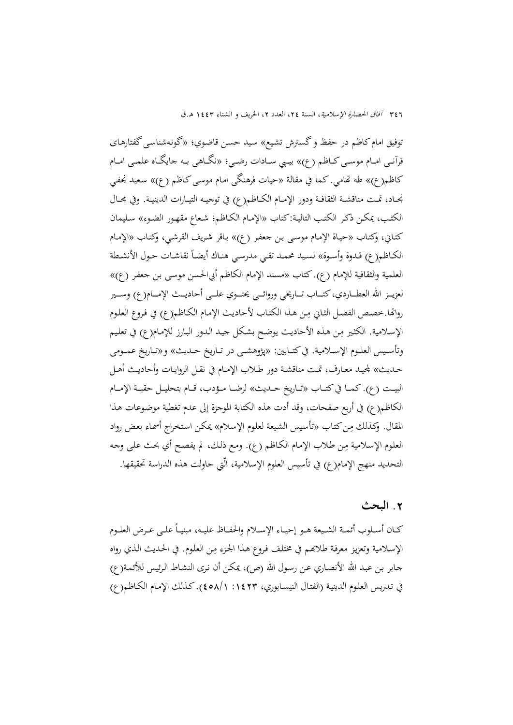توفيق امامکاظم در حفظ وگسترش تشـيع» سـيد حسـن قاضـوي؛ «گونـهشناسـیگفتارهـای قرآنــی امــام موســیکــاظم (ع)» بيــبي ســادات رضــي؛ «نگــاهی بــه جايگــاه علمــی امــام کاظم(ع)» طه ēامي. كما في مقالة «حيات فرهنگی امـام موسـیکـاظم (ع)» سـعيد نجفـي نجــاد، تمــت مناقشــة الثقافــة ودور الإمــام الكــاظم(ع) في توجيــه التيــارات الدينيــة. وفي مجــال الکتـب، يمكـن ذكـر الکتـب التاليـة:کتاب «الإمـام الکـاظم؛ شـعاع مقهـور الضـوء» سـليمان کتـاني، وکتـاب «حيـاة الإمـام موسـی بـن جعفـر (ع)» بـاقر شـريف القرشـي، وکتـاب «الإمـام الكـاظم(ع) قـدوة وأسـوة» لسـيد محمـد تقـي مدرسـي هنـاك أيضـاً نقاشـات حـول الأنشـطة العلمية والثقافية للإمام (ع). کتاب «مسند الإمام الکاظم أبيالحسن موسـی بـن جعفـر (ع)» لعزيـــز الله العطـــاردي،كتـــاب تـــاريخي وروائـــي يحتـــوي علـــي أحاديـــث الإمـــام(ع) وســـير رواتها.خصـص الفصـل الثـاني مِـن هـذا الكتـاب لأحاديـث الإمـام الكـاظم(ع) في فـروع العلـوم الإسـلامية. الكثـير مِن هـذه الأحاديث يوضح بشكل جيـد الـدور البـارز للإمـام(ع) في تعليم وتأســيس العلــوم الإســلامية. فيکتــابين: «پژوهشــی در تــاريخ حــديث» و«تــاريخ عمــومی حــديث» جمليــد معــارف، تمــت مناقشــة دور طــلاب الإمــام في نقــل الروايــات وأحاديــث أهــل البيـــت (ع). کمـــا فيکتـــاب «تـــاريخ حـــديث» لرضـــا مـــؤدب، قـــام بتحليـــل حقبـــة الإمـــام الكاظم(ع) في أربع صفحات، وقد أدت هذه الكتابة الموجزة إلى عدم تغطية موضـوعات هـذا المقال. وكذلك مِن كتاب «تأسيس الشيعة لعلوم الإسلام» يمكن استخراج أسماء بعض رواد العلوم الإسلامية مِن طلاب الإمام الكاظم (ع). ومع ذلك، لم يفصح أي بحث على وجه التحديد منهج الإمام(ع) في تأسيس العلوم الإسلامية، الّتي حاولت هذه الدراسة تحقيقها.

#### **.**2 **البحث**

كــان أســلوب أئمــة الشـيعة هــو إحيــاء الإســلام والحفــاظ عليــه، مبنيــاً علــي عــرض العلــوم الإسلامية وتعزيز معرفة طلابهم في مختلف فروع هـذا الجزء مِن العلوم. في الحديث الذي رواه جـابر بـن عبـد االله الأنصـاري عـن رسـول االله (ص)، يمكـن أن نـرى النشـاط الـرئيس للأئمـة(ع) في تـدريس العلـوم الدينيـة (الفتـال النيسـابوري، :1423 458/1).کـذلك الإمـام الکـاظم(ع)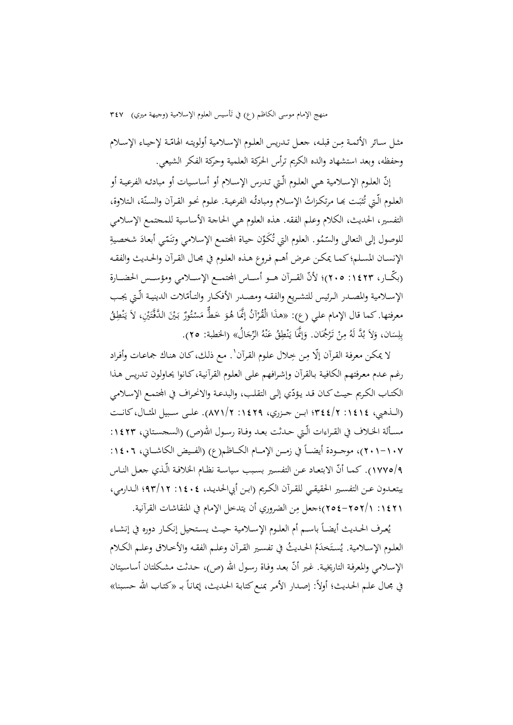منهج الإمام موسى الكاظم (ع) في تأسيس العلوم الإسلامية (وجيهة ميري) ٣٤٧

مثـل سـائر الأئمـة مِـن قبلـه، جعـل تـدريس العلـوم الإسـلامية أولويتـه الهامّـة لإحيـاء الإسـلام وحفظه، وبعد استشهاد والده الكريم ترأس الحركة العلمية وحركة الفكر الشيعي.

إنّ العلـوم الإسـلامية هـي العلـوم الّـتي تـدرس الإســلام أو أساسـيات أو مبادئـه الفرعيـة أو العلـوم الّـتي تُثبَـت بمـا مرتكـزاتُ الإسـلام ومبادئُـه الفرعيـة. عـلـوم نحـو القـرآن والسـنّة، الـتلاوة، التفسير، الحديث، الکلام وعلم الفقه. هذه العلوم هـي الحاجـة الأساسـية للمجتمـع الإسـلامي للوصول إلى التعالى والسّمُو. العلوم التي تُكَوِّن حياة المحتمع الإسلامي وتنَمّي أبعادَ شخصيةِ الإنسـان المسـلم؛ كمـا يمكـن عـرض أهـم فـروع هـذه العلـوم في مجـال القـرآن والحـديث والفقـه (بكّــار، ١٤٢٣: ٢٠٥)؛ لأنّ القــرآن هــو أســاس المحتمــع الإســـلامي ومؤســس الحضــارة الإسـلامية والمصـدر الـرئيس للتشـريع والفقـه ومصـدر الأفكـار والتـأمّلات الدينيـة الّـتي يجـب معرفتها. كما قال الإمام علي (ع): «هذَا الْقُرْآنُ إِنَّمَا هُوَ خَطٌّ مَسْتُورٌ بَيْنَ الدَّفَّتَيْنِ، لاَ يَنْطِقُ<br>. ْ ن يا<br>. بِلِسَان، وَلاَ بُدَّ لَهُ مِنْ تَرْجُمَان. وَإِنَّمَا يَنْطِقُ عَنْهُ الرِّجَالُ» (الخطبة: ٢٥). ن َ ن ب<br>: َ

لا يمكن معرفة القرآن إلّا مِن خِلال علوم القرآن'. مع ذلك، كان هناك جماعات وأفراد رغـم عـدم معـرفتهم الكافيـة بـالقرآن وإشـرافهم علـی العلـوم القرآنيـة،کـانوا يحـاولون تـدريس هـذا الكتـاب الكـريم حيـث كـان قـد يـؤدّي إلـي التقلب، والبدعـة والانحـراف في المجتمـع الإسـلامي (الـــذهبي، :1414 344/2؛ ابـــن جـــزري، :1429 871/2). علـــى ســـبيل المثـــال،کانـــت مسـألة الخـلاف في القـراءات الّـتي حـدثت بعـد وفـاة رسـول الله(ص) (السجسـتاني، ١٤٢٣: ١٠٧-٢٠١)، موجــودة أيضـــاً في زمــن الإمــام الكــاظم(ع) (الفـيض الكاشــاني، ١٤٠٦: 1\١٧٧٥). كمـا أنّ الابتعـاد عـن التفسـير بسـبب سياسـة نظـام الخلافـة الّـذي جعـل النـاس يبتعــدون عــن التفســير الحقيقــي للقــرآن الکــريم (ابــن أبيالحديــد، :1404 93/12؛ الــدارمي، 11٤٢١ : ٢٥٧١-٢٥٤)؛جعل مِن الضروري أن يتدخل الإمام في المنقاشات القرآنية.

 $\overline{\phantom{a}}$ يُعـرف الحـديث أيضــاً باسـم أم العلـوم الإســلامية حيـث يسـتحيل إنكـار دوره في إنشــاء العلـوم الإســلامية. يُستَخدَمُ الحـديثُ في تفسـير القـرآن وعلـم الفقـه والأخـلاق وعلـم الكـلام الإسلامي والمعرفة التاريخية. غير أنّ بعد وفاة رسول الله (ص)، حدثت مشكلتان أساسيتان في مجـال علـم الحـديث؛ أولاً: إصـدار الأمـر بمنـع كتابـة الحـديث، إيمانـاً بـ «كتـاب الله حسـبنا»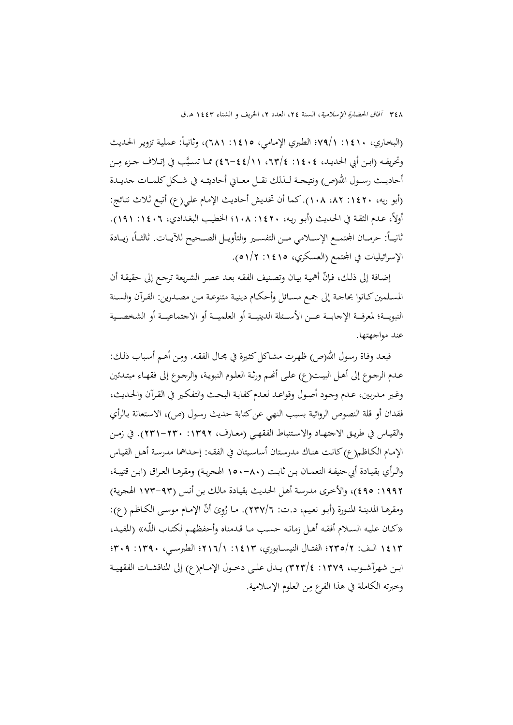(البخاري، ١٤١٠: ٧٩/١؛ الطبري الإمامي، ١٤١٥: ٦٨١)، وثانياً: عملية تزوير الحديث وتحريفـه (ابـن أبي الحديـد، ١٤٠٤: ١٣/٤، ١١//٤٤-٤٦) ممـا تسـبَّب في إتـلاف جـزء مِـن أحاديــث رســول الله(ص) ونتيجــة لــذلك نقــل معــاني أحاديثــه في شــكل كلمــات جديــدة (أبو ريه، :1420 ،82 108). كما أن تخديش أحاديـث الإمـام علـي(ع) أتبـع ثـلاث نتـائج: أولاً، عـدم الثقـة في الحـديث (أبـو ريـه، ١٤٢٠. ١٠٨؛ الخطيب البغـدادي، ١٤٠٦: ١٩١).  $\overline{\phantom{a}}$ ثانيـــاً: حرمـــان الجتمـــع الإســـلامي مــن التفســير والتأويــل الصـــحيح للآيــات. ثالثـــاً، زيــادة الإسرائيليات في المحتمع (العسكري، ١٤١٥: ١/٢).

إضـافة إلى ذلك، فإنّ أهميـة بيـان وتصنيف الفقـه بعـد عصـر الشـريعة ترجـع إلى حقيقـة أن المسـلمين كــانوا بحاجــة إلى جمـع مســائل وأحكــام دينيــة متنوعــة مــن مصــدرين: القـرآن والسـنة النبويـــة؛ لمعرفـــة الإجابـــة عـــن الأســـئلة الدينيـــة أو العلميـــة أو الشخصـــية أو الشخصــية عند مواجهتها.

فبعـد وفـاة رسـول الله(ص) ظهـرت مشـاكـل كثـيرة في مجـال الفقـه. ومِـن أهـم أسـباب ذلـك: عـدم الرجـوع إلى أهـل البيـت(ع) علـى أنَّصـم ورثـة العلـوم النبويـة، والرجـوع إلى فقهـاء مبتـدئين وغـير مـدربين، عـدم وجـود أصـول وقواعـد لعـدم كفايـة البحـث والتفكـير في القـرآن والحـديث، فقدان أو قلة النصوص الروائية بسبب النهي عنكتابة حديث رسـول (ص)، الاسـتعانة بـالرأي والقيــاس في طريــق الاجتهــاد والاســتنباط الفقهــي (معــارف، :1392 231-230). في زمــن الإمـام الكـاظم(ع) كانـت هنـاك مدرسـتان أساسـيتان في الفقـه: إحـداهما مدرسـة أهـل القيـاس والــرأي بقيــادة أبيحنيفــة النعمــان بــن ثابــت (150-80 الهجريــة) ومقرهــا العــراق (ابــن قتيبــة، :1992 495)، والأخـرى مدرسـة أهـل الحـديث بقيـادة مالـك بـن أنـس (173-93 الهجريـة) ومقرهـا المدينـة المنـورة (أبـو نعـيـم، د.ت: ٢٣٧/٦). مـا رُوِيَ أنَّ الإمـام موسـى الكـاظم (ع): «کـان عليـه الســلام أفقـه أهـل زمانـه حسـب مـا قـدمناه وأحفظهـم لکتـاب اللّـه» (المفيـد، 1413 الــف: 235/2؛ الفتــال النيســابوري، :1413 216/1؛ الطبرســي، :1390 309؛ ابــن شهرآشــوب، :1379 323/4) يــدل علــى دخــول الإمــام(ع) إلى المناقشــات الفقهيــة وخبرته الكاملة في هذا الفرع مِن العلوم الإسلامية.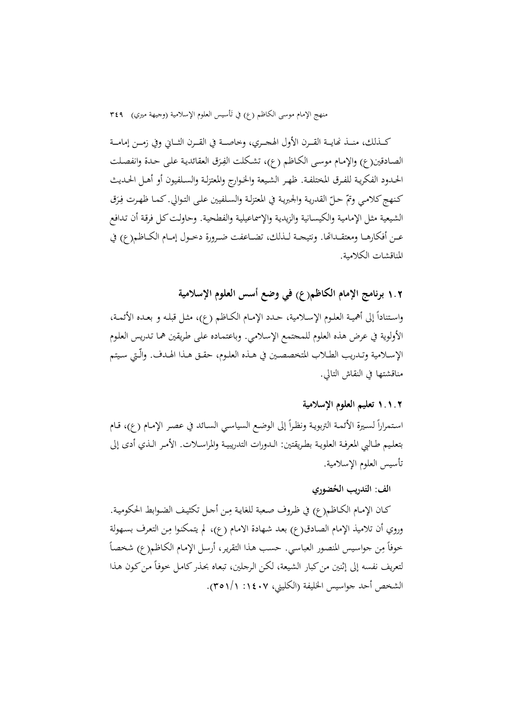منهج الإمام موسى الكاظم (ع) في تأسيس العلوم الإسلامية (وجيهة ميري) ٣٤٩

كـــذلك، منــذ نحايــة القــرن الأول الهجــري، وخاصـــة في القــرن الثــاني وفي زمـــن إمامــة الصادقين(ع) والإمام موسى الكاظم (ع)، تشكلت الفِرَق العقائدية على حدة وانفصلت الحــدود الفكريــة للفــرق المختلفـة. ظهــر الشــيعة والخــوارج والمعتزلـة والســلفيون أو أهــل الحــديث كنهج كلامي وتمّ حلّ القدرية والجبرية في المعتزلة والسلفيين على التوالي. كما ظهرت فِرَق الشيعية مثل الإمامية والكيسـانية والزيدية والإسماعيلية والفطحية. وحاولت كل فرقة أن تدافع عــن أفكارهــا ومعتقــداتها. ونتيجــة لــذلك، تضــاعفت ضــرورة دخــول إمــام الكــاظم(ع) في المناقشات الکلامية.

### 1**.**2 **برنامج الإمام الكاظم(ع) في وضع أسس العلوم الإسلامية**

واسـتناداً إلى أهميـة العلـوم الإســلامية، حــدد الإمــام الكــاظم (ع)، مثـل قبلـه و بعـده الأئمــة، الأولوية في عرض هذه العلوم للمجتمع الإسـلامي. وباعتمـاده علـى طـريقين همـا تـدريس العلـوم الإســلامية وتــدريب الطــلاب المتخصصــين في هــذه العلــوم، حقــق هــذا الهــدف. والّــتي ســيتم مناقشتها في النقاش التالي.

#### **۱.۱.۲ تعليم العلوم الإسلامية**

استمراراً لسيرة الأئمـة التربويـة ونظراً إلى الوضع السياسي السـائد في عصـر الإمـام (ع)، قـام بتعلــيم طــالبي المعرفــة العلويــة بطــريقتين: الــدورات التدريبيــة والمراســلات. الأمــر الــذي أدى إلى تأسيس العلوم الإسلامية.

### **ُضوري الف: الت َدريب الح**

كـان الإمـام الكـاظم(ع) في ظروف صعبة للغايـة مِـن أحـل تكثيـف الضـوابط الحكوميـة. وروي أن تلاميذ الإمام الصادق(ع) بعد شهادة الامام (ع)، لم يتمكنوا مِن التعرف بسهولة خوفاً مِن جواسيس المنصور العباسي. حسب هذا التقرير، أرسل الإمام الكاظم(ع) شخصاً لتعريف نفسه إلى إثنين من كبار الشيعة، لكن الرجلين، تبعاه بحذر كامل خوفاً من كون هذا الشخص أحد جواسيس الخليفة (الکليني، :1407 351/1).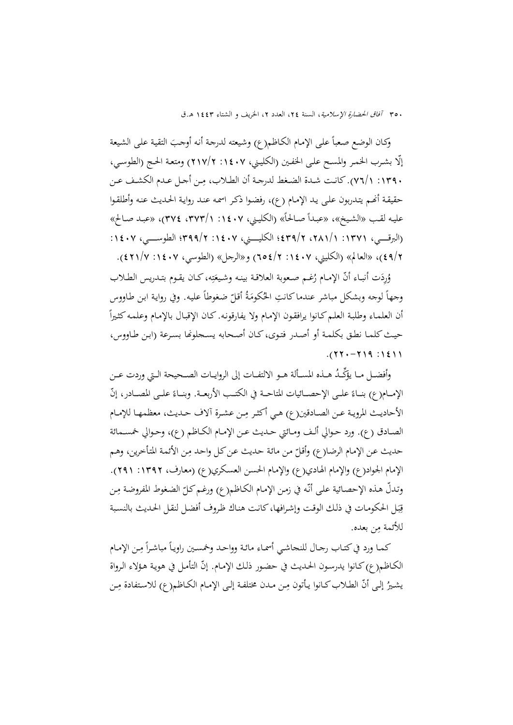وكـان الوضع صعباً على الإمـام الكـاظم(ع) وشيعته لدرجة أنه أوجـبَ التقية على الشيعة ّإلا بشـرب الخمـر والمسـح علـی الخفـين (الکليـني، :1407 217/2) ومتعـة الحـج (الطوسـي، ِ :1390 76/1). كانــت شــدة الضــغط لدرجــة أن الطــلاب، ــن أجــل عــدم الكشــف عــن م حقيقة أنهم يتدربون على يد الإمـام (ع)، رفضـوا ذكـر اسمه عند روايـة الحـديث عنـه وأطلقـوا عليـه لقـب «الشـيخ»، «عبـدأ صـالحاً» (الكليني، ١٤٠٧ : ١/٣٧٣، ٣٧٤)، «عبـد صـالح» (البرقــــــي، :1371 ،281/1 439/2؛ الکليــــــني، :1407 399/2؛ الطوســــــي، :1407 49/2)، «العالم» (الکليني، :1407 654/2) و«الرجل» (الطوسي، :1407 421/7).

وُرِدَت أنبـاء أنّ الإمـام رُغـم صـعوبة العلاقـة بينـه وشـيعَتِه، كـان يقـوم بتـدريس الطـلاب ِ ت َ وجهاً لوجه وبشكل مباشر عندما كانتِ الحُكومَةُ أقلّ ضغوطاً عليه. وفي رواية ابن طاووس  $\overline{a}$ أن العلمـاء وطلبـة العلـم كـانوا يرافقـون الإمـام ولا يفارقونـه. كـان الإقبـال بالإمـام وعلمـه كثـيراً حيـث كلمـا نطـق بكلمـة أو أصـدر فتـوى، كـان أصـحابه يسـجلوݢا بسـرعة (ابـن طـاووس،  $. (77 - 719 : 1211$ 

وأفضــل مــا يؤكّــدُ هــذه المســألة هــو الالتفــات إلى الروايــات الصــحيحة الــتي وردت عــن الإمــام(ع) بنــاءً علــى الإحصــائيات المتاحــة في الكتــب الأربعــة. وبنــاءً علــى المصــادر، إنّ الأحاديث المروية عـن الصـادقين(ع) هـي أكثـر مِـن عشـرة آلاف حـديث، معظمهـا للإمـام الصــادق (ع). ورد حــوالي ألــف ومــائتي حــديث عــن الإمــام الكــاظم (ع)، وحــوالي خمســمائة حديث عن الإمام الرضا(ع) وأقلّ من مائة حديث عن كل واحد مِن الأئمة المتأخرين، وهـم الإمام الجواد(ع) والإمام الهـادي(ع) والإمـام الحسـن العسـكري(ع) (معـارف، :1392 291). وتدلّ هذه الإحصائية على أنّه في زمن الإمام الكاظم(ع) ورغم كلّ الضغوط المفروضة مِن قِبَل الحكومات في ذلك الوقت وإشرافها، كانت هناك ظروف أفضل لنقل الحديث بالنسبة ب للأئمة مِن بعده.

كمـا ورد في كتـاب رجـال للنجاشـي أسمـاء مائـة وواحـد وخمسـين راويـاً مباشـراً مِـن الإمـام الكـاظم(ع) كـانوا يدرسون الحـديث في حضـور ذلك الإمـام. إنّ التأمـل في هويـة هـؤلاء الـرواة يشيرُ إلى أنّ الطـلاب كـانوا يـأتون مِـن مـدن مختلفـة إلـى الإمـام الكـاظم(ع) للاستفادة مِـن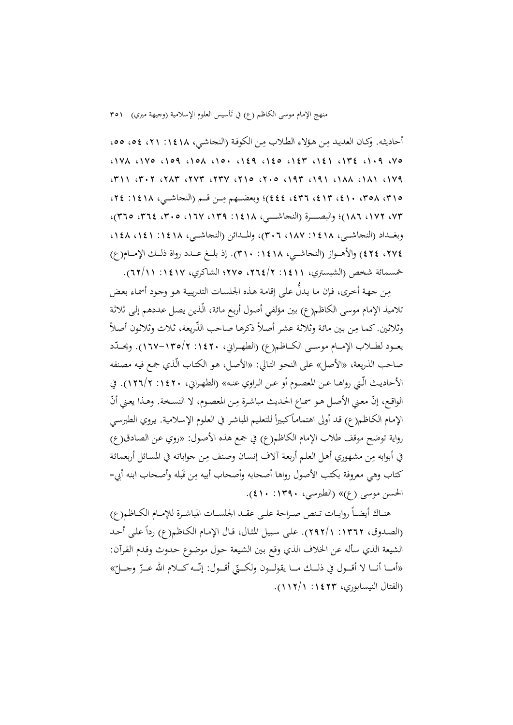منهج الإمام موسى الكاظم (ع) في تَأسيس العلوم الإسلامية (وجيهة ميري) ٢٥١

أحاديثه. وكـان العديد مِن هؤلاءِ الطلاب مِن الكوفة (النحاشي، ١٤١٨: ٢١، ٥٤، ٥٥،  $(17)$   $(17)$   $(109)$   $(10)$   $(10)$   $(129)$   $(120)$   $(121)$   $(172)$   $(119)$   $(100)$  $(111)$   $(111)$   $(111)$   $(111)$   $(111)$   $(111)$   $(111)$   $(111)$   $(111)$   $(111)$   $(111)$ )؛ وبعضـــهم م (النجاشـــي، :1418 ،24 ِ ،315 ،358 ،410 ،413 ،436 444 ـــن قـــم ،73 ،172 186)؛ والبصــــــرة (النجاشــــــي، :1418 ،139 ،167 ،305 ،364 365)، وبغــداد (النجاشــي، ١٤١٨ :١٤٨٧، ٣٠٦)، والمــدائن (النجاشــي، ١٤١٨ : ١٤١ ،1٤٨) ،274 424) والأهـــواز (النجاشـــي، :1418 310). إذ بلـــغ عـــدد رواة ذلـــك الإمـــام(ع) خمسمائة شخص (الشبستري، :1411 ،264/2 275؛ الشاکري، :1417 62/11).

مِن جهة أخرى، فإن ما يدلُّ على إقامة هذه الجلسات التدريبية هو وجود أسماء بعض تلاميذ الإمام موسى الكاظم(ع) بين مؤلفي أصول أربـع مائـة، الّـذين يصـل عـددهم إلـی ثلاثـة وثلاثين. كما مِن بين مائة وثلاثة عشر أصلاً ذكرها صاحب الذّريعة، ثلاث وثلاثون أصلاً يعــود لطـــلاب الإمـــام موســى الكـــاظم(ع) (الطهــراني، ١٤٢٠-١٦٧-١٦٧). ويحــدّد صاحب الذريعة، «الأصل» على النحـو التـالي: «الأصـل، هـو الکتـاب الّـذي جمـع فيـه مصـنفه الأحاديــث الّــتي رواهــا عــن المعصــوم أو عــن الــراوي عنــه» (الطهــراني، :1420 126/2). في الواقع، إنّ معني الأصل هو سماع الحديث مباشرة مِن المعصوم، لا النسخة. وهذا يعني أنّ الإمام الكـاظـم(ع) قد أولى اهتماماً كبيراً للتعليم المباشر في العلوم الإسلامية. يروي الطبرسي رواية توضح موقف طلاب الإمام الكاظم(ع) في جمع هذه الأصـول: «روي عـن الصـادق(ع) في أبوابه مِن مشهوري أهل العلم أربعة آلاف إنسان وصنف مِن جواباته في المسائل أربعمائة كتاب وهي معروفة بكتب الأصول رواها أصحابه وأصحاب أبيه مِن قَبله وأصحاب ابنه أبي-الحسن موسی (ع)» (الطبرسي، :1390 410).

هنــاك أيضــا روايــات تــنص صــراحة علــى عقــد الجلســات المباشــرة للإمــام الکــاظم(ع) ً (الصدوق، ١٣٦٢: ٢٩٢/١). على سبيل المثال، قال الإمام الكـاظم(ع) رداً على أحد الشيعة الذي سأله عن الخلاف الذي وقع بـين الشـيعة حـول موضـوع حـدوث وقـدم القـرآن: «أمـــا أنـــا لا أقـــول في ذلـــك مـــا يقولـــون ولكـــتي أقـــول: إنّـــه كـــلام الله عـــزّ وجـــلّ:»<br>. (الفتال النيسابوري، :1423 112/1).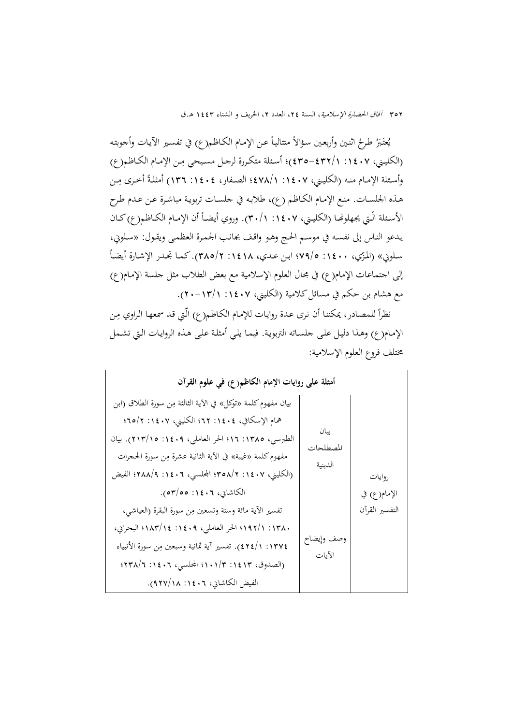يُعتَبَرُ طرحُ اثنـين وأربعـين سؤالاً متتاليـاً عـن الإمـام الكـاظم(ع) في تفسـير الآيـات وأجوبتـه (الكليني، ١٤٠٧: ٢٣٢/١ -٤٣٥)؛ أسـئلة متكررة لرجـل مسيحي مِن الإمـام الكـاظم(ع) وأسـئلة الإمـام منـه (الكليـني، ١٤٠٧ /١٤٧٨/١؛ الصـفار، ١٤٠٤: ١٣٦) أمثلـةً أخـرى مِـن هـذه الجلسـات. منـع الإمـام الکـاظم (ع)، طلابـه في جلسـات تربويـة مباشـرة عـن عـدم طـرح الأسـئلة الّـتي يجهلونهـا (الكليـني، ١٤٠٧: ٢٠/١). وروي أيضـاً أن الإمـام الكــاظـم(ع)كــان يـدعو النـاس إلى نفسـه في موسـم الحـج وهـو واقـف بجانـب الجمـرة العظمـی ويقـول: «سـلوني، سلويي» (المُرّي، ١٤٠٠: ٧٩/٥؛ ابن عـدي، ١٤١٨: ٢٨٥/٢). كما تجـدر الإشـارة أيضـاً إلی اجتماعات الإمام(ع) في مجال العلوم الإسلامية مع بعض الطلاب مثل جلسة الإمـام(ع) مع هشام بن حكم في مسائل كلامية (الكليني، ١٤٠٧ : ١٣/١-٢٠).

نظراً للمصادر، يمكننا أن نرى عدة روايات للإمام الكاظم(ع) الّتي قد سمعها الراوي مِن الإمـام(ع) وهـذا دليـل علـى جلسـاته التربويـة. فيمـا يلـي أمثلـة علـى هـذه الروايـات الـتي تشـمل مختلف فروع العلوم الإسلامية:

| أمثلة على روايات الإمام الكاظم(ع) في علوم القرآن             |                      |                |
|--------------------------------------------------------------|----------------------|----------------|
| بيان مفهوم كلمة «توكل» في الآية الثالثة مِن سورة الطلاق (ابن |                      |                |
| همام الإسكافي، ١٤٠٤: ٢٢؟ الكليني، ١٤٠٧: ٢/٥٢؛                |                      |                |
| الطبرسي، ١٣٨٥: ١٦؛ الحر العاملي، ١٤٠٩: ٢١٣/١٥). بيان         | بيان<br>المصطلحات    |                |
| مفهوم كلمة «غيبة» في الآية الثانية عشرة مِن سورة الحجرات     | الدينية              |                |
| (الكليني، ١٤٠٧: ٢/٥٨/٢ المجلسي، ١٤٠٦: ٢٨٨/٩؛ الفيض           |                      | روايات         |
| الكاشاني، ١٤٠٦: ٥٣/٥٥).                                      |                      | الإمام(ع) في   |
| تفسير الآية مائة وستة وتسعين مِن سورة البقرة (العياشي،       |                      | التفسير القرآن |
| ١٣٨٠: ١/١٩٢؟ الحر العاملي، ١٤٠٩: ١٨٣/١٤! البحراني،           |                      |                |
| ١٣٧٤: ٤٢٤/١). تفسير أية ثمانية وسبعين مِن سورة الأنبياء      | وصف وإيضاح<br>الآيات |                |
| (الصدوق، ١٤١٣: ١٠١/٣: المحلسبي، ١٤٠٦: ٢٣٨/٦؛                 |                      |                |
| الفيض الكاشاني، ١٤٠٦: ٩٢٧/١٨).                               |                      |                |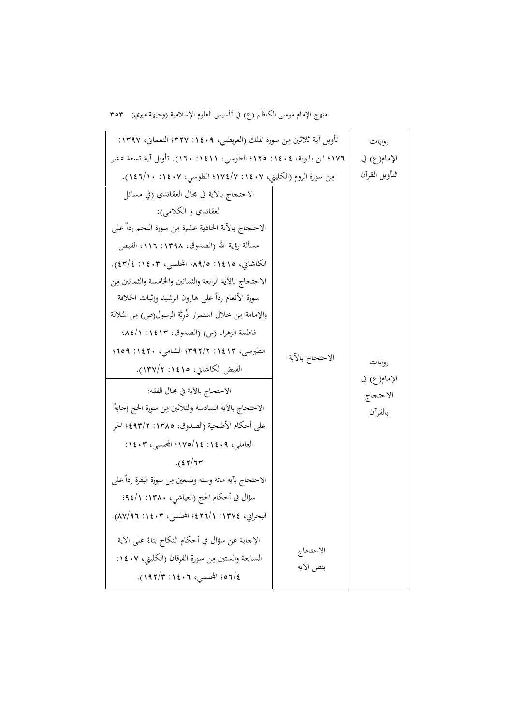منهج الإمام موسى الكاظم (ع) في تَأسيس العلوم الإسلامية (وجيهة ميري) ٣٥٣

| تأويل آية ثلاثين مِن سورة الملك (العريضي، ١٤٠٩: ٣٢٧؛ النعماني، ١٣٩٧: |                 | روايات                   |
|----------------------------------------------------------------------|-----------------|--------------------------|
| ١٧٦؛ ابن بابوية، ١٤٠٤: ١٢٥؛ الطوسي، ١٤١١: ١٦٠). تأويل آية تسعة عشر   |                 | الإمام(ع) في             |
| مِن سورة الروم (الكليني، ١٤٠٧: ١٧٤/٧؛ الطوسي، ١٤٠٧: ١١/١٤٦).         |                 | التأويل القرآن           |
| الاحتجاج بالآية في مجال العقائدي (في مسائل                           |                 |                          |
| العقائدي و الكلامي):                                                 |                 |                          |
| الاحتحاج بالأية الحادية عشرة مِن سورة النحم رداً على                 |                 |                          |
| مسألة رؤية الله (الصدوق، ١٣٩٨: ١١١٦؛ الفيض                           |                 |                          |
| الكاشاني، ١٤١٥: ١٩/٥؛ المجلسي، ١٤٠٣: ٤٣/٤).                          |                 |                          |
| الاحتحاج بالآية الرابعة والثمانين والخامسة والثمانين مِن             |                 |                          |
| سورة الأنعام ردأ على هارون الرشيد وإثبات الخلافة                     |                 |                          |
| والإمامة مِن خلال استمرار ذُرِيَّة الرسول(ص) مِن سُلالة              |                 |                          |
| فاطمة الزهراء (س) (الصدوق، ١٤١٣: ١/١٤٨؛                              |                 |                          |
| الطبرسبي، ١٤١٣: ٣٩٢/٢؛ الشامي، ١٤٢٠: ٢٥٩؛                            | الاحتحاج بالآية |                          |
| الفيض الكاشاني، ١٤١٥: ١٣٧/٢).                                        |                 | روايات                   |
| الاحتحاج بالآية في مجال الفقه:                                       |                 | الإمام(ع) في<br>الاحتجاج |
| الاحتحاج بالأية السادسة والثلاثين مِن سورة الحج إجابةً               |                 | بالقرأن                  |
| على أحكام الأضحية (الصدوق، ١٣٨٥: ٤٩٣/٢؛ الحر                         |                 |                          |
| العاملي، ١٤٠٩: ١٧٥/١٤: المجلسي، ١٤٠٣:                                |                 |                          |
| $.$ $(57)77$                                                         |                 |                          |
| الاحتحاج بأية مائة وستة وتسعين مِن سورة البقرة رداً على              |                 |                          |
| سؤال في أحكام الحج (العياشي، ١٣٨٠: ١/٩٤؛                             |                 |                          |
| البحراني، ١٣٧٤: ١/٢٢٤؛ المحلسي، ١٤٠٣: ٨٧/٩٦).                        |                 |                          |
| الإجابة عن سؤال في أحكام النكاح بناءً على الآية                      |                 |                          |
| السابعة والستين مِن سورة الفرقان (الكليني، ١٤٠٧:                     | الاحتجاج        |                          |
| ٤/٥٦/ المجلسي، ١٤٠٦: ١٩٢/٣).                                         | بنص الآية       |                          |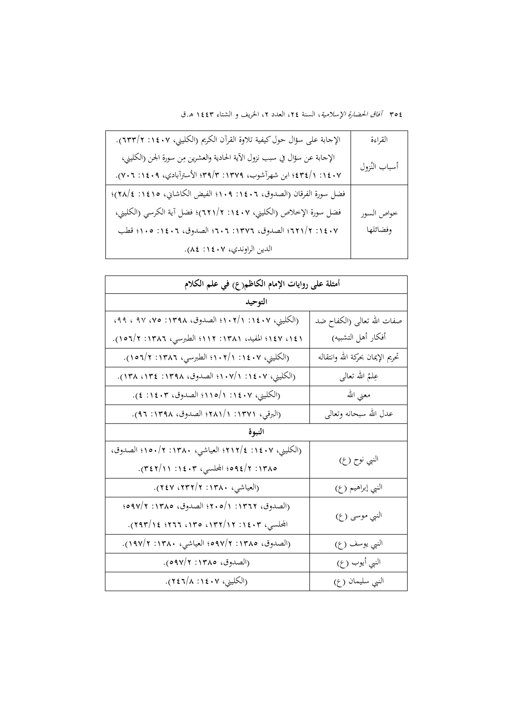| الإجابة على سؤال حول كيفية تلاوة القرآن الكريم (الكليني، ١٤٠٧: ٦٣٣/٢).     | القراءة       |
|----------------------------------------------------------------------------|---------------|
| الإجابة عن سؤال في سبب نزول الآية الحادية والعشرين مِن سورة الجن (الكليني، | أسباب النُزول |
| ١٤٠٧: ١/٤٣٤؛ ابن شهرآشوب، ١٣٧٩: ٣٩/٣؛ الأسترآبادي، ٢٠٩: ٧٠٦: ٧٠٦).         |               |
| فضل سورة الفرقان (الصدوق، ١٤٠٦: ١٠٩؛ الفيض الكاشاني، ١٤١٥: ٢٨/٤)؛          |               |
| فضل سورة الإخلاص (الكليني، ١٤٠٧: ٢١١/٢)؛ فضل آية الكرسي (الكليني،          | خواص السور    |
| ١٤٠٧: ٢/٢٢١؟ الصدوق، ١٣٧٦: ٢٠٦؛ الصدوق، ١٤٠٦: ١٠٥؛ قطب                     | وفضائلها      |
| الدين الراوندي، ١٤٠٧: ٨٤).                                                 |               |

| أمثلة على روايات الإمام الكاظم(ع) في علم الكلام       |                                   |  |
|-------------------------------------------------------|-----------------------------------|--|
| التوحيد                                               |                                   |  |
| (الكليني، ١٤٠٧: ١/١٠٢/١ الصدوق، ١٣٩٨: ٧٥، ٩٧، ٩٩، ٩٩، | صفات الله تعالى (الكفاح ضد        |  |
| ١٤١، ١٤٧؛ المفيد، ١٣٨١: ١١٢؛ الطبرسي، ١٣٨٦: ١/٣٥٦).   | أفكار أهل التشبيه)                |  |
| (الكليني، ١٤٠٧: ١/٢٠٢؛ الطبرسي، ١٣٨٦: ١/٢٥٦).         | تحريم الإيمان بحركة الله وانتقاله |  |
| (الكليني، ١٤٠٧: ١/١٠٧/ الصدوق، ١٣٩٨: ١٣٤: ١٣٨).       | عِلْمُ الله تعالى                 |  |
| (الكليني، ١٤٠٧: ١/٥/١؛ الصدوق، ١٤٠٣: ٤).              | معنى الله                         |  |
| (البرقي، ١٣٧١: ١/١٨١؛ الصدوق، ١٣٩٨: ٩٦).              | عدل الله سبحانه وتعالى            |  |
| النبوة                                                |                                   |  |
| (الكليني، ١٤٠٧: ٢١٢/٤ العياشي، ١٣٨٠: ١٣٨٠؛ الصدوق،    |                                   |  |
| ١٣٨٥: ٢/١٤١٢؛ المجلسي، ١٤٠٣: ٢١/٢٤٢).                 | النبي نوح (ع)                     |  |
| (العياشي، ١٣٨٠: ٢/٢٣٢، ٢٤٧).                          | النبي إبراهيم (ع)                 |  |
| (الصدوق، ١٣٦٢: ٢٠٥/١؛ الصدوق، ١٣٨٥: ٢/٥٩٧             |                                   |  |
| المجلسي، ۱٤٠٣: ۱۲/۲۳، ۱۳۰، ۲۹۳، ۲۹۳/۱٤).              | النبي موسى (ع)                    |  |
| (الصدوق، ١٣٨٥: ٢/٩٧م؛ العياشي، ١٣٨٠: ١٩٧/٢).          | النبي يوسف (ع)                    |  |
| (الصدوق، ١٣٨٥: ٥٩٧/٢).                                | النبي أيوب (ع)                    |  |
| (الكليني، ١٤٠٧: ٢٤٦/٨).                               | النبي سليمان (ع)                  |  |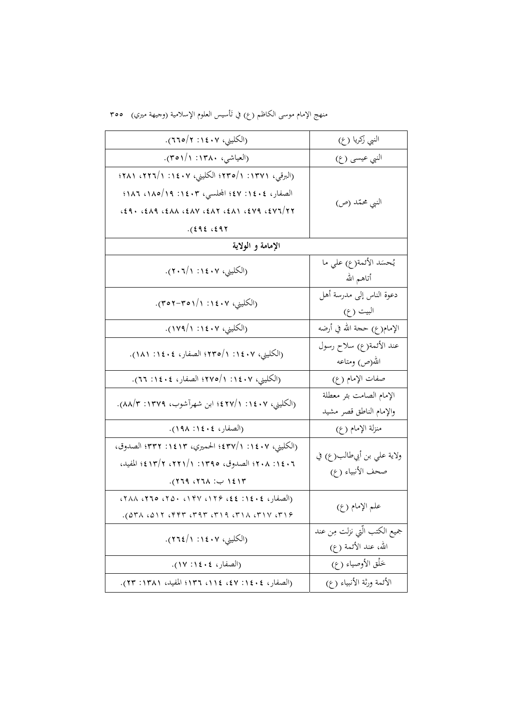منهج الإمام موسى الكاظم (ع) في تَأسيس العلوم الإسلامية (وجيهة ميري) ٣٥٥

| (الكليني، ١٤٠٧: ٢/٥/٢).                                                                                                                            | النبي زكريا (ع)                                        |
|----------------------------------------------------------------------------------------------------------------------------------------------------|--------------------------------------------------------|
| (العياشي، ١٣٨٠: ٢٥١/١).                                                                                                                            | النبي عيسى (ع)                                         |
| (البرقي، ١٣٧١: ١/٢٣٥/ الكليني، ١٤٠٧: ١/٢٢٦، ١٢٢١؛<br>الصفار، ١٤٠٤: ٤٧؛ المحلسي، ١٤٠٣: ١٨٥/١٩، ١٨٦؛<br>$(29.62)$ $(20.40)$<br>$.$ (292.297).        | النبي محمّد (ص)                                        |
| الإمامة و الولاية                                                                                                                                  |                                                        |
| (الكليني، ١٤٠٧: ٢٠٦/١).                                                                                                                            | يُحسَد الأئمة(ع) على ما<br>أتاهم الله                  |
| (الكليني، ١٤٠٧: ١/٥٦–٣٥٢).                                                                                                                         | دعوة الناس إلى مدرسة أهل<br>البيت (ع)                  |
| (الكليني، ١٤٠٧: ١٧٩/١).                                                                                                                            | الإمام(ع) حجة الله في أرضه                             |
| (الكليني، ١٤٠٧: ١/٢٣٥/١ الصفار، ١٤٠٤: ١٨١).                                                                                                        | عند الأئمة(ع) سلاح رسول<br>الله(ص) ومتاعه              |
| (الكليني، ١٤٠٧: ١/٢٧٥/١؛ الصفار، ١٤٠٤: ٢٦).                                                                                                        | صفات الإمام (ع)                                        |
| (الكليني، ١٤٠٧: ١/٢٤٢؛ ابن شهرآشوب، ١٣٧٩: ٨٨/٣).                                                                                                   | الإمام الصامت بئر معطلة<br>والإمام الناطق قصر مشيد     |
| (الصفار، ١٤٠٤: ١٩٨).                                                                                                                               | منزلة الإمام (ع)                                       |
| (الكليني، ١٤٠٧: ٣٣٧/١؛ الحميري، ١٤١٣: ٣٣٢؛ الصدوق،<br>٢٠١٤٠٦؛ الصدوق، ١٣٩٥: ١/٢٢١، ٢/٣/٢؛ المفيد،<br>١٤١٣ ب: ٢٦٨، ٢٦٩).                            | ولاية علي بن أبيطالب(ع) في<br>صحف الأنبياء ( ع)        |
| (الصفار، ٢٤٠٤: ٢٤٤، ١٢۶، ١٣٧، ٢٥٠، ٢٦٥، ٢٨٨،<br>$(25.6)$ $(37.6)$ $(21.7)$ $(5.7)$ $(6.7)$ $(7.7)$ $(7.7)$ $(7.7)$ $(7.7)$ $(7.7)$ $(7.7)$ $(7.7)$ | علم الإمام (ع)                                         |
| (الكليني، ١٤٠٧: ٢٦٤/١).                                                                                                                            | جميع الكتب الَّتي نزلت مِن عند<br>الله، عند الأئمة (ع) |
| (الصفار، ١٤٠٤: ١٧).                                                                                                                                | خَلْق الأوصياء (ع)                                     |
| (الصفار، ١٤٠٤: ٤٧: ١١٤، ١٣٦؛ المفيد، ١٣٨١: ٢٣).                                                                                                    | الأئمة ورثة الأنبياء (ع)                               |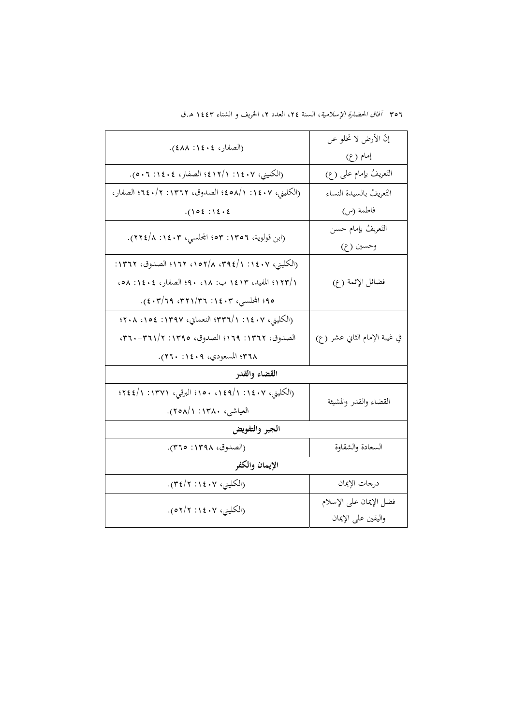|                                                      | إنَّ الأرض لا تخلو عن         |  |
|------------------------------------------------------|-------------------------------|--|
| (الصفار، ١٤٠٤: ٤٨٨).                                 | إمام (ع)                      |  |
| (الكليني، ١٤٠٧: ١/١٢/١٤؛ الصفار، ١٤٠٤: ٥٠٦.          | التَعريفُ بإمام على (ع)       |  |
| (الكليني، ١٤٠٧: ١٨/م٥٤؛ الصدوق، ١٣٦٢: ١/٠٤٠؛ الصفار، | التَعريفُ بالسيدة النساء      |  |
| $.() 0 \xi : \xi \cdot \xi$                          | فاطمة (س)                     |  |
| (ابن قولوية، ١٣٥٦: ٥٣: المحلسبي، ١٤٠٣. ٢٢٤/٨).       | التَعريفُ بإمام حسن           |  |
|                                                      | وحسين (ع)                     |  |
| (الكليني، ١٤٠٧: ٣٩٤/١، ٣٩٤/٨، ١٣٦٢؛ الصدوق، ١٣٦٢:    |                               |  |
| ١/١٢٣/ المفيد، ١٤١٣ ب: ٩٠، ٩٠؛ الصفار، ٤٠٤: ٥٨، ٥٨   | فضائل الإئمة (ع)              |  |
| ٩٥؛ المحلسي، ٢٠٤: ٣٢١/٣٦، ٢٩/٦٩. ٤٠٣/١).             |                               |  |
| (الكليني، ١٤٠٧: ١/٣٣٦؛ النعمايي، ١٣٩٧: ١٥٤؛ ٢٠٨      |                               |  |
| الصدوق، ١٣٦٢: ١٦٩؟ الصدوق، ١٣٩٥: ٢٦١/٢-٣٦٠،          | في غيبة الإمام الثاني عشر (ع) |  |
| ٣٦٨؛ المسعودي، ١٤٠٩: ٢٦٠).                           |                               |  |
| القضاء والقدر                                        |                               |  |
| (الكليني، ١٤٠٧: ١٤٩/١ ١٥٠؛ البرقي، ١٣٧١: ١/١٤٤؟؛     |                               |  |
| العياشي، ١٣٨٠: ٢٥٨/١).                               | القضاء والقدر والمشيئة        |  |
| الجبر والتفويض                                       |                               |  |
| (الصدوق، ١٣٩٨: ٣٦٥).                                 | السعادة والشقاوة              |  |
| الإيمان والكفر                                       |                               |  |
| (الكليني، ٢٠٤: ٢١٤/٣).                               | درجات الإيمان                 |  |
| (الكليني، ١٤٠٧: ٢/٢٥).                               | فضل الإيمان على الإسلام       |  |
|                                                      | واليقين على الإيمان           |  |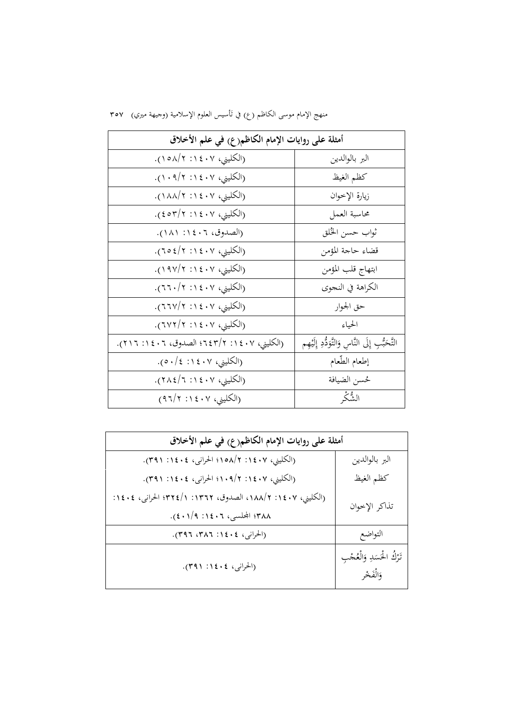|  |  |  | منهج الإمام موسى الكاظم (ع) في تَأسيس العلوم الإسلامية (وجيهة ميري)   ٣٥٧ |  |  |
|--|--|--|---------------------------------------------------------------------------|--|--|
|--|--|--|---------------------------------------------------------------------------|--|--|

| أمثلة على روايات الإمام الكاظم(ع) في علم الأخلاق |                                                      |
|--------------------------------------------------|------------------------------------------------------|
| (الكليني، ١٤٠٧: ١٨/٢).                           | البر بالوالدين                                       |
| (الكليني، ١٤٠٧: ١٠٩/٢).                          | كظم الغيظ                                            |
| (الكليني، ١٤٠٧: ١٨٨/١).                          | زيارة الإخوان                                        |
| (الكليني، ١٤٠٧: ٤٥٣/٢).                          | محاسبة العمل                                         |
| (الصدوق، ١٤٠٦: ١٨١).                             | ثواب حسن الخُلق                                      |
| (الكليني، ٢٠٤١: ٢/٤٥٢).                          | قضاء حاجة المؤمن                                     |
| (الكليني، ١٤٠٧: ١٩٧/٢).                          | ابتهاج قلب المؤمن                                    |
| (الكليني، ١٤٠٧: ٢١./٢٦٠).                        | الكراهة في النجوي                                    |
| (الكليني، ١٤٠٧: ٢١٧/٢).                          | حق الجوار                                            |
| (الكليني، ١٤٠٧: ٢/٢٧٢).                          | الحياء                                               |
| (الكليني، ١٤٠٧: ٢/٢٤٣/٢ الصدوق، ١٤٠٦: ٢١٦).      | التَّحَبُّبِ إِلَى النَّاسِ وَالتَّوَدُّدِ إِلَيْهِم |
| (الكليني، ١٤٠٧: ١٤).                             | إطعام الطّعام                                        |
| (الكليني، ١٤٠٧: ٢٨٤/٦).                          | حُسن الضيافة                                         |
| (الكليني، ٤٠٧: ٩٦/٢)                             | الشُّكْر                                             |

| أمثلة على روايات الإمام الكاظم(ع) في علم الأخلاق           |                                            |  |
|------------------------------------------------------------|--------------------------------------------|--|
| (الكليني، ١٤٠٧: ١٨/٨ه١؛ الحرانبي، ١٤٠٤: ٣٩١).              | البر بالوالدين                             |  |
| (الكليني، ١٤٠٧: ١/٠٩/٢؛ الحرانبي، ١٤٠٤: ٣٩١).              | كظم الغيظ                                  |  |
| (الكليني، ١٤٠٧: ١٨٨/٢، الصدوق، ١٣٦٢: ١/٣٢٤/ الحراني، ١٤٠٤: | تذاكر الإخوان                              |  |
| ٣٨٨؛ المحلسي، ١٤٠٦: ١/٢٠١).                                |                                            |  |
| (الحراني، ١٤٠٤: ٣٨٦، ٣٩٦).                                 | التواضع                                    |  |
| (الحراني، ١٤٠٤: ٣٩١).                                      | تَرْكُ الْحَسَدِ وَالْعُجْبِ<br>وَالْفَخْر |  |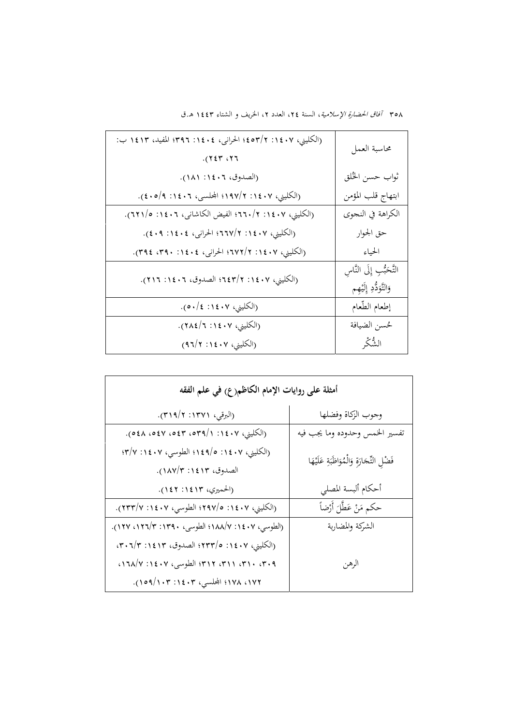| (الكليني، ١٤٠٧: ٢/٣٥٢؛ الحرانبي، ١٤٠٤: ٣٩٦؛ المفيد، ١٤١٣ ب:<br>.727.77 | محاسبة العمل                                            |
|------------------------------------------------------------------------|---------------------------------------------------------|
| (الصدوق، ١٤٠٦: ١٨١).                                                   | ثواب حسن الخُلق                                         |
| (الكليني، ١٤٠٧: ١٩٧/٢؛ المحلسبي، ١٤٠٦: ٥/٩: ٤٠٥).                      | ابتهاج قلب المؤمن                                       |
| (الكليني، ١٤٠٧: ٢١.١٣. الفيض الكاشاني، ٢٠١٤: ١١/٢٣).                   | الكراهة في النجوي                                       |
| (الكليني، ١٤٠٧: ٢/٢٦٧؟ الحرانبي، ١٤٠٤: ٤٠٩).                           | حق الجوار                                               |
| (الكليني، ١٤٠٧: ٢٧٢/٢؛ الحرانبي، ١٤٠٤: ٣٩٠، ٣٩٤).                      | الحياء                                                  |
| (الكليني، ١٤٠٧: ٢/٣٤٣؛ الصدوق، ١٤٠٦: ٢١٦).                             | التَّحَبُّبِ إِلَى النَّاسِ<br>وَالتَّوَدُّدِ إِلَيْهِم |
| (الكليني، ١٤٠٧: ١٤).                                                   | إطعام الطّعام                                           |
| (الكليني، ١٤٠٧: ٢٨٤/٦).                                                | حُسن الضيافة                                            |
| (الكليني، ١٤٠٧: ٩٦/٢)                                                  | الشُّكْر                                                |

| أمثلة على روايات الإمام الكاظم(ع) في علم الفقه                     |                                                |  |
|--------------------------------------------------------------------|------------------------------------------------|--|
| (البرقبي، ١٣٧١: ٣١٩/٢).                                            | وجوب الزكاة وفضلها                             |  |
| (الكليني، ١٤٠٧: ١/٣٩م، ٥٤٣، ٥٤٧، ٥٤٨).                             | تفسير الخمس وحدوده وما يجب فيه                 |  |
| (الكليني، ١٤٠٧: ١٤٩/٥؛ الطوسي، ١٤٠٧: ٣/٧:<br>الصدوق، ١٤١٣: ١٨٧/٣). | فَضْلِ التِّجَارَةِ وَالْمُوَاظَبَةِ عَلَيْهَا |  |
| (الحميري، ١٤١٣: ١٤٢).                                              | أحكام ألبسة المصلى                             |  |
| (الكليني، ١٤٠٧: ٢٩٧/٥؛ الطوسي، ١٤٠٧: ٢٣٣/٧).                       | حكم مَنْ عَطَّلَ أَرْضاً                       |  |
| (الطوسي، ١٤٠٧: ١٨٨/٧؛ الطوسى، ١٣٩٠: ١٢٣/٣:١٢٧).                    | الشركة والمضاربة                               |  |
| (الكليني، ١٤٠٧: ٥/٢٣٣/؛ الصدوق، ١٤١٣: ٠٣.٦/٣                       |                                                |  |
| ٣١٩، ٣١٠، ٣١١، ٣١٢، ٣١٢؛ الطوسى، ١٤٠٧: ١٦٨/٧، ١١                   | الرهن                                          |  |
| ١٧٢، ١٧٨؛ المحلسي، ١٤٠٣: ١٠٩/١٠٩).                                 |                                                |  |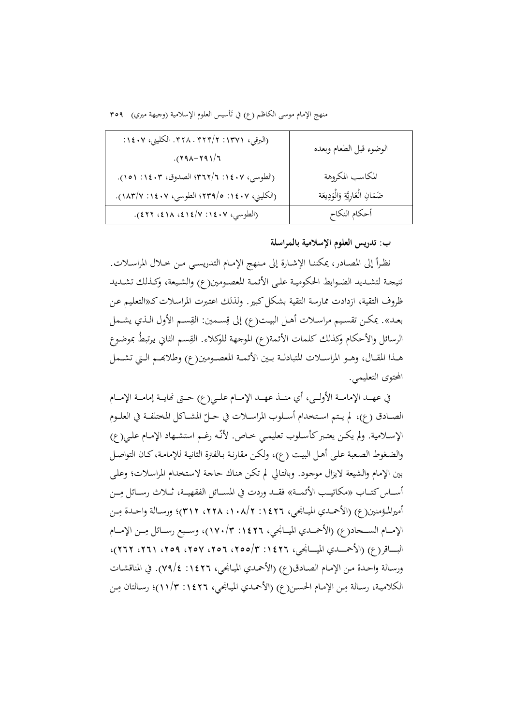منهج الإمام موسى الكاظم (ع) في تأسيس العلوم الإسلامية (وجيهة ميري) ٢٥٩

| (البرقبي، ١٣٧١: ٢/٢٢٩. ٣٢٨. الكليني، ١٤٠٧:<br>$.7177 - .7917$ | الوضوء قبل الطعام وبعده             |
|---------------------------------------------------------------|-------------------------------------|
| (الطوسى، ١٤٠٧: ٢/٢٦٢؟ الصدوق، ١٤٠٣: ١٥١).                     | المكاسب المكروهة                    |
| (الكليني، ١٤٠٧: ٥/٢٣٩/٥ الطوسى، ١٤٠٧: ١٨٣/٧).                 | ضَمَانِ الْعَارِيَّةِ وَالْوَدِيعَة |
| (الطوسي، ١٤٠٧: ١٤/٧:١٤١٨، ٤٢٢).                               | أحكام النكاح                        |

#### **ب: تدريس العلوم الإسلامية بالمراسلة**

نظـراً إلى المصـادر، يمكننــا الإشــارة إلى مـنهج الإمــام التدريسـي مــن خــلال المراسـلات. نتيجــة لتشــديد الضــوابط الحكوميــة علــى الأئمــة المعصــومين(ع) والشــيعة، وكــذلك تشــديد ظروف التقية، ازدادت ممارسة التقية بشكل كبير . ولذلك اعتبرت المراسلات كـ«التعليم عـن بعـد». يمكـن تقسـيم مراسـلات أهـل البيـت(ع) إلى قِسـمين: القِسـم الأول الـذي يشـمل الرسائل والأحكام وكذلك كلمات الأئمة(ع) الموجهة للوكلاء. القِسم الثاني يرتبطُ بموضوع هــذا المقــال، وهــو المراســلات المتبادلــة بــين الأئمــة المعصــومين(ع) وطلابحــم الــتي تشــمل المحتوى التعليمي.

في عهــد الإمامــة الأولــي، أي منــذ عهــد الإمــام علــي(ع) حــتى نُمايــة إمامــة الإمــام الصــادق (ع)، لم يـتم اسـتخدام أســلوب المراســلات في حــلّ المشــاكل المختلفــة في العلــوم الإســلامية. ولم يكـن يعتـبر كأسـلوب تعليمـي خـاص. لأنّـه رغـم استشــهاد الإمـام علـي(ع) والضـغوط الصـعبة علـی أهـل البيـت (ع)، ولكـن مقارنـة بـالفترة الثانيـة للإمامـة،كـان التواصـل بين الإمام والشيعة لايزال موجـود. وبالتـالي لم تكـن هنـاك حاجـة لاسـتخدام المراسـلات؛ وعلـى أســاس كتــاب «مكاتيــب الأئمــة» فقــد وردت في المســائل الفقهيــة، ثــلاث رســائل مِــن أميرالمـؤمنين(ع) (الأحمــدي الميــانجـي، ١٤٢٦: ١٠٨/٢، ٢٢٨، ٣١٢)؛ ورســالة واحــدة مِــن الإمــام الســحاد(ع) (الأحمــدي الميــانجي، ١٤٢٦: ١٧٠/٣)، وســبع رســائل مِــن الإمــام البــــاقر(ع) (الأحمــــدي الميــــانجي، ١٤٢٦: ٣/٥٥٢، ٢٥٢، ٢٥٩، ٢٦٦، ٢٢٦، ٢٦٢)، ورسـالة واحـدة مـن الإمـام الصـادق(ع) (الأحمـدي الميـانجي، :1426 79/4). في المناقشـات الكلامية، رسـالة مِـن الإمـام الحسـن(ع) (الأحمـدي الميـانجي، ١٤٢٦: ١١/٣)؛ رسـالتان مِـن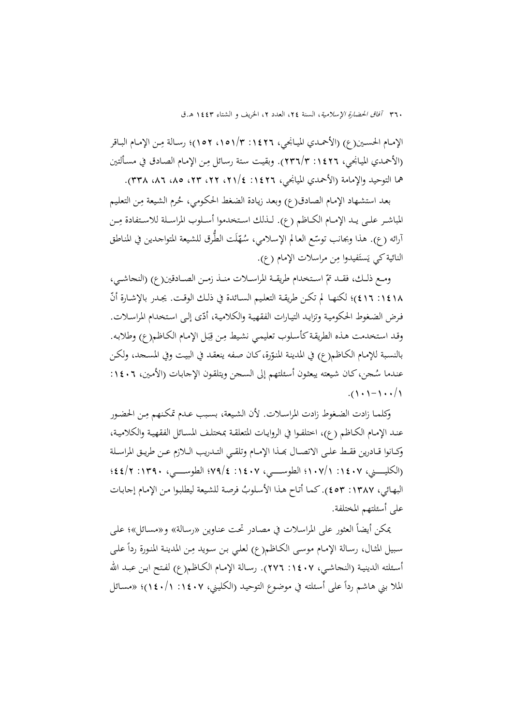الإمـام الحسـين(ع) (الأحمـدي الميـانجي، ١٤٢٦: ١٥١/٣، ١٥٢)؛ رسـالة مِـن الإمـام البـاقر (الأحمدي الميانجي، ١٤٢٦/٣ : ١٣٦/٣). وبقيت ستة رسائل مِن الإمام الصادق في مسألتين هما التوحيد والإمامة (الأحمدي الميانجي، :1426 ،21/4 ،22 ،23 ،85 ،86 338).

بعد استشهاد الإمام الصادق(ع) وبعد زيادة الضغط الحكومي، حُرم الشيعة مِن التعليم المباشـر علـى يـد الإمـام الكـاظم (ع). لـذلك اسـتخدموا أسـلوب المراسـلة للاسـتفادة مِـن أرائه (ع). هذا وبجانب توسّع العالم الإسلامي، سُهّلَت الطُّرق للشيعة المتواجدين في المناطق<br>-النائية کي يَستَفيدوا مِن مراسلات الإمام (ع).

ومـع ذلـك، فقـد تمّ اسـتخدام طريقــة المراســلات منــذ زمــن الصــادقين(ع) (النجاشــي، 11 11 : 15)؛ لكنهـا لم تكـن طريقـة التعليم الســائدة في ذلـك الوقـت. يجـدر بالإشـارة أنّ فرض الضغوط الحكوميـة وتزايـد التيـارات الفقهيـة والكلاميـة، أدّى إلـي اسـتخدام المراسـلات. وقد استخدمت هذه الطريقة كأسلوب تعليمي نشيط مِن قِبَل الإمام الكاظم(ع) وطلابه. ب ِ بالنسبة للإمـام الكـاظـم(ع) في المدينـة المنوّرة،كـان صـفه ينعقـد في البيـت وفي المسـجد، ولكـن عنـدما سُـجن، كـان شيعته يبعثون أسـئلتهم إلى السـجن ويتلقـون الإجـابـات (الأمـين، ١٤٠٦:  $.() \cdot 1 - 1 \cdot \cdot / 1$ 

وكلمـا زادت الضغوط زادت المراسـلات. لأن الشيعة، بسبب عـدم تمكـنهم مـن الحضـور عنـد الإمـام الکـاظم (ع)، اختلفـوا في الروايـات المتعلقـة بمختلـف المسـائل الفقهيـة والکلاميـة، وكــانوا قــادرين فقـط علـى الاتصــال بحـذا الإمــام وتلقــي التــدريب الــلازم عــن طريـق المراسـلة (الکليـــــــني، :1407 107/1؛ الطوســـــــي، :1407 79/4؛ الطوســـــــي، :1390 44/2؛ البهـائي، ١٣٨٧: ٤٥٣). كما أتاح هـذا الأسلوبُ فرصة للشيعة ليطلبوا من الإمام إجابـات على أسئلتهم المختلفة.

يمكن أيضا العثور على المراسـلات في مصـادر تحـت عنـاوين «رسـالة» و«مسـائل»؛ علـى ً سبيل المثال، رسالة الإمـام موسـى الكـاظم(ع) لعلي بن سويد مِن المدينة المنورة رداً علـى أسـئلته الدينيـة (النحاشـي، ١٤٠٧ : ٢٧٦). رسـالة الإمـام الكـاظم(ع) لفـتح ابـن عبـد الله الملا بني هاشم ردا أسـئلته في موضـوع التوحيـد (الکليـني، :1407 140/1)؛ «مسـائل ًعلى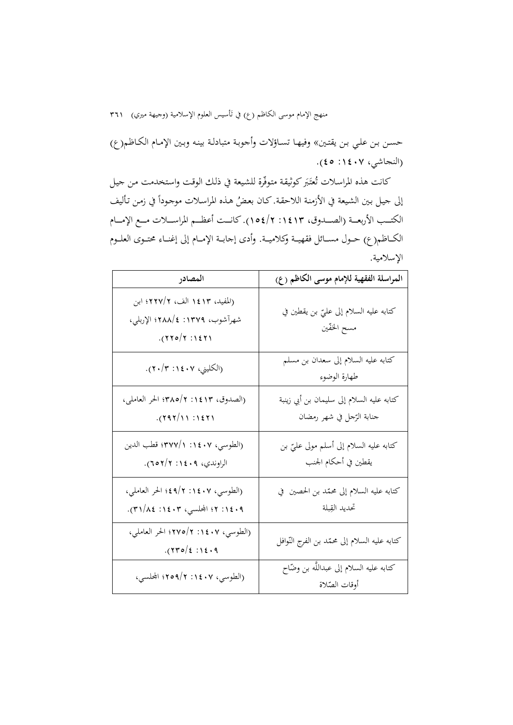منهج الإمام موسى الكاظم (ع) في تأسيس العلوم الإسلامية (وجيهة ميري) ٣٦١

حسـن بـن علـي بـن يقتـين» وفيهـا تسـاؤلات وأجوبـة متبادلـة بينـه وبـين الإمـام الکـاظم(ع) (النجاشي، ١٤٠٧: ٤٥).

كانت هذه المراسلات تُعتَبَر كوثيقة متوفّرة للشيعة في ذلك الوقت واستخدمت من جيل إلى جيل بين الشيعة في الأزمنة اللاحقة. كان بعضُ هذه المراسلات موجوداً في زمن تأليف<br>. الكتــــب الأربعــــة (الصــــدوق، :1413 154/2). كانــــت أعظــــم المراســــلات مــــع الإمــــام الكـــاظم(ع) حـــول مســـائل فقهيـــة وکلاميـــة. وأدى إجابـــة الإمـــام إلى إغنـــاء محتـــوى العلـــوم الإسلامية.

| المصادر                                                                          | المراسلة الفقهية للإمام موسى الكاظم (ع)                                |
|----------------------------------------------------------------------------------|------------------------------------------------------------------------|
| (المفيد، ١٤١٣ الف، ٢٢٧/٢؛ ابن<br>شهرآشوب، ١٣٧٩: ٤/٢٨٨؛ الإربلي،<br>. (770/7:127) | كتابه عليه السلام إلى عليّ بن يقطين في<br>مسح الخفّين                  |
| (الكليني، ١٤٠٧: ٢٠/٢٠).                                                          | كتابه عليه السلام إلى سعدان بن مسلم<br>طهارة الوضوء                    |
| (الصدوق، ١٤١٣: ٢٨٥/٢؛ الحر العاملي،<br>$.$ (292/11 :1271)                        | كتابه عليه السلام إلى سليمان بن أبي زينبة<br>جنابة الرّجل في شهر رمضان |
| (الطوسي، ١٤٠٧: ٣٧٧/١)؛ قطب الدين<br>الراوندي، ٢٠٤٠٩: ٢١٢م٦).                     | كتابه عليه السلام إلى أسلم مولى عليّ بن<br>يقطين في أحكام الجنب        |
| (الطوسي، ١٤٠٧: ٩/٢؛ الحر العاملي،<br>٠١٤٠٩: ٢٢ المحلسي، ٢٠٤٣: ٨٤/٣١).            | كتابه عليه السلام إلى محمّد بن الحصين  في<br>تحديد القِبلة             |
| (الطوسي، ١٤٠٧: ٢/٥/٢؛ الحر العاملي،<br>$.$ (750/2:12.9)                          | كتابه عليه السلام إلى محمّد بن الفرج النّوافل                          |
| (الطوسي، ١٤٠٧: ٢٥٩/٢؛ المحلسي،                                                   | كتابه عليه السلام إلى عبداللَّه بن وضَّاح<br>أوقات الصّلاة             |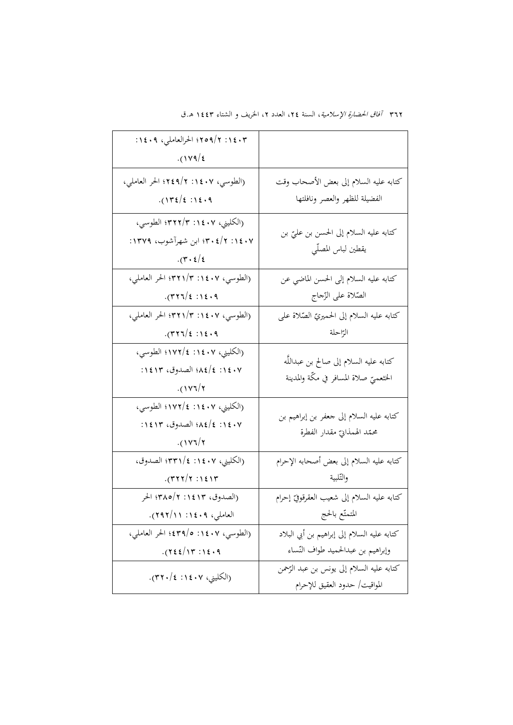| ٠١٤٠٣؛ ٢٥٩/٢؛ الحرالعاملي، ١٤٠٩:                                                                |                                                                             |
|-------------------------------------------------------------------------------------------------|-----------------------------------------------------------------------------|
| $.$ (179/2)                                                                                     |                                                                             |
| (الطوسي، ١٤٠٧: ٩/٢٤٩/٢ الحر العاملي،                                                            | كتابه عليه السلام إلى بعض الأصحاب وقت                                       |
| $.$ (1۳٤/٤: ١٤٠٩)                                                                               | الفضيلة للظهر والعصر ونافلتها                                               |
| (الكليني، ١٤٠٧: ٣٢٢/٣؛ الطوسي،<br>۰۷ : ۱۲/ ۴۰ :۳۰) ابن شهرآشوب، ۱۳۷۹:<br>$\cdot$ (۳ $\cdot$ ٤/٤ | كتابه عليه السلام إلى الحسن بن عليّ بن<br>يقطين لباس المصلّي                |
| (الطوسي، ١٤٠٧: ٣٢١/٣؛ الحر العاملي،                                                             | كتابه عليه السلام إلى الحسن الماضي عن                                       |
| $.$ (۳۲۶/٤:۱٤۰۹).                                                                               | الصّلاة على الزّجاج                                                         |
| (الطوسي، ١٤٠٧: ٣٢١/٣؛ الحر العاملي،                                                             | كتابه عليه السلام إلى الحميريّ الصّلاة على                                  |
| $-(777/\epsilon : 16.9)$                                                                        | الرّاحلة                                                                    |
| (الكليني، ١٤٠٧: ١٧٢/٤؛ الطوسي،                                                                  |                                                                             |
| ٠١٤٠٧: ١٤/٤٨؛ الصدوق، ١٤١٣:                                                                     | كتابه عليه السلام إلى صالح بن عبداللَّه                                     |
| $.$ (١٧٦/٢)                                                                                     | الخثعميّ صلاة المسافر في مكّة والمدينة                                      |
| (الكليني، ١٤٠٧: ١٧٢/٤؛ الطوسي،<br>٠١٤٠٧: ١٤/٤٨؛ الصدوق، ١٤١٣:                                   | كتابه عليه السلام إلى جعفر بن إبراهيم بن<br>محمّد الهمذابيّ مقدار الفطرة    |
| (1Y7)7                                                                                          |                                                                             |
| (الكليني، ١٤٠٧: ١٢٣١/٤) الصدوق،                                                                 | كتابه عليه السلام إلى بعض أصحابه الإحرام                                    |
| $.$ (۳۲۲/۲ $:$ ۱٤۱۳)                                                                            | والتّلبية                                                                   |
| (الصدوق، ١٤١٣: ٣٨٥/٢؛ الحر                                                                      | كتابه عليه السلام إلى شعيب العقرقوقيّ إحرام                                 |
| العاملي، ١٤٠٩: ٢٩٢/١١).                                                                         | المتمتّع بالحج                                                              |
| (الطوسي، ١٤٠٧: ٢٩/٥: ٤٣٩٤؛ الحر العاملي،                                                        | كتابه عليه السلام إلى إبراهيم بن أبي البلاد                                 |
| .722/17.12.9                                                                                    | وإبراهيم بن عبدالحميد طواف النّساء                                          |
| (الكليني، ١٤٠٧: ٢٢٠/٤).                                                                         | كتابه عليه السلام إلى يونس بن عبد الرَّحمن<br>المواقيت/ حدود العقيق للإحرام |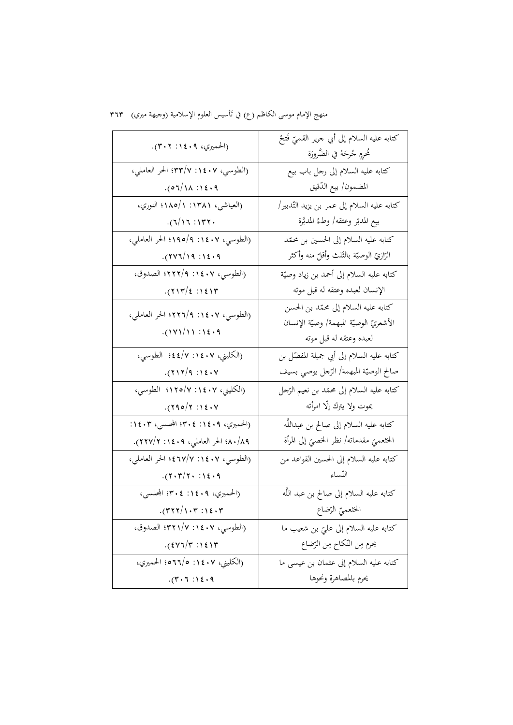| منهج الإمام موسى الكاظم (ع) في تَأسيس العلوم الإسلامية (وجيهة ميري)   ٣٦٣ |
|---------------------------------------------------------------------------|
|                                                                           |

| (الحميري، ٢٠٩: ٣٠٢).                  | كتابه عليه السلام إلى أبي جرير القميّ فَتحُ<br>مُحْرِمٍ جُرحَهُ في الضَّرورَة |
|---------------------------------------|-------------------------------------------------------------------------------|
| (الطوسي، ١٤٠٧: ٣٣/٧: الحر العاملي،    | كتابه عليه السلام إلى رحل باب بيع                                             |
| .07/10.11                             | المضمون/ بيع الدّقيق                                                          |
| (العياشي، ١٣٨١: ١/ه١١؛ النوري،        | كتابه عليه السلام إلى عمر بن يزيد التّدبير/                                   |
| .771:1177.                            | بيع المدبّر وعتقه/ وطئُ المدبَّرة                                             |
| (الطوسي، ١٤٠٧: ١٩٥/٩؛ الحر العاملي،   | كتابه عليه السلام إلى الحسين بن محمّد                                         |
| $.$ (277/19:12.9)                     | الزازيّ الوصيّة بالثّلث وأقلّ منه وأكثر                                       |
| (الطوسي، ١٤٠٧: ٢٢٢/٩؛ الصدوق،         | كتابه عليه السلام إلى أحمد بن زياد وصيّة                                      |
| $.$ (213/2): 12/17                    | الإنسان لعبده وعتقه له قبل موته                                               |
| (الطوسي، ١٤٠٧: ٢٢٦/٩؛ الحر العاملي،   | كتابه عليه السلام إلى محمّد بن الحسن                                          |
| $.$ (۱۷۱/۱۱:۱٤۰۹)                     | الأشعريّ الوصيّة المبهمة/ وصيّة الإنسان                                       |
|                                       | لعبده وعتقه له قبل موته                                                       |
| (الكليني، ١٤٠٧: ١٧/٤٤؛ الطوسي،        | كتابه عليه السلام إلى أبي جميلة المفضّل بن                                    |
| (7117/9:12.4V)                        | صالح الوصيّة المبهمة/ الرّجل يوصي بسيف                                        |
| (الكليني، ١٤٠٧: ١٢٥/٧؛ الطوسي،        | كتابه عليه السلام إلى محمّد بن نعيم الرّجل                                    |
| .790/7:12.4                           | يموت ولا يترك إلّا امرأته                                                     |
| (الحميري، ١٤٠٩: ٣٠٤؛ المحلسي، ١٤٠٣:   | كتابه عليه السلام إلى صالح بن عبداللَّه                                       |
| ٨٠/٨٩؛ الحر العاملي، ٢٠٤١: ٢١٧/٢).    | الخثعميّ مقدماته/ نظر الخصيّ إلى المرأة                                       |
| (الطوسي، ١٤٠٧: ٢٧/٧:١٤؛ الحر العاملي، | كتابه عليه السلام إلى الحسين القواعد من                                       |
| (7.777.115.9)                         | التّساء                                                                       |
| (الحميري، ١٤٠٩: ٣٠٤؛ المحلسي،         | كتابه عليه السلام إلى صالح بن عبد اللَّه                                      |
| $\cdot$ (۳۲۲/۱۰۳ :۱٤۰۳).              | الخثعميّ الرّضاع                                                              |
| (الطوسي، ١٤٠٧: ٢٢١/٧؛ الصدوق،         | كتابه عليه السلام إلى عليّ بن شعيب ما                                         |
| $.$ $(5Y7/T : 151T$                   | يحرم مِن النّكاح مِن الرّضاع                                                  |
| (الكليني، ١٤٠٧: ٢٦٦/٥؛ الحميري،       | كتابه عليه السلام إلى عثمان بن عيسى ما                                        |
| .77:1:14.9                            | يحرم بالمصاهرة ونحوها                                                         |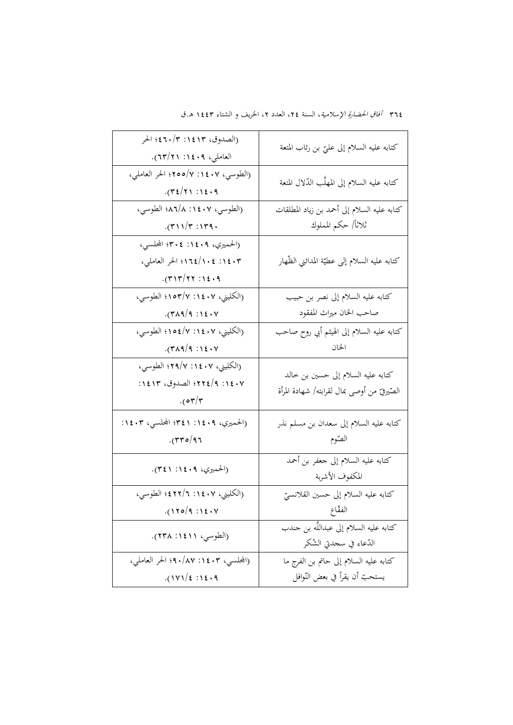| (الصدوق، ١٤١٣: ٤٦٠/٣؛ الحر<br>العاملي، ١٤٠٩: ٢١٣/٢١).                        | كتابه عليه السلام إلى عليّ بن رئاب المتعة                                          |
|------------------------------------------------------------------------------|------------------------------------------------------------------------------------|
| (الطوسي، ١٤٠٧: ٢٥٥/٧؛ الحر العاملي،<br>$-(72/7)$ : 12.9                      | كتابه عليه السلام إلى المهلَّب الدّلال المتعة                                      |
| (الطوسي، ١٤٠٧: ٨٦/٨؛ الطوسي،                                                 | كتابه عليه السلام إلى أحمد بن زياد المطلقات                                        |
| (5.177.57)                                                                   | ثلاثاً/ حكم المملوك                                                                |
| (الحميري، ١٤٠٩: ٣٠٤؛ المحلسي،<br>١٤٠٣: ١٤٤/١٠٤؛ الحر العاملي،<br>(71777116.9 | كتابه عليه السلام إلى عطيّة المدائني الظّهار                                       |
| (الكليني، ١٤٠٧: ١٥٣/٧؛ الطوسي،                                               | كتابه عليه السلام إلى نصر بن حبيب                                                  |
| .71191911.                                                                   | صاحب الخان ميراث المفقود                                                           |
| (الكليني، ١٤٠٧: ١٥٤/٧؛ الطوسي،                                               | كتابه عليه السلام إلى الهيثم أبي روح صاحب                                          |
| .74999:12.4                                                                  | الخان                                                                              |
| (الكليني، ١٤٠٧: ٢٩/٧؛ الطوسي،<br>٠١٤٠٧؛ الصدوق، ١٤١٣؛<br>. (o r/r)           | كتابه عليه السلام إلى حسين بن خالد<br>الصّيرفيّ من أوصى بمال لقرابته/ شهادة المرأة |
| (الحميري، ١٤٠٩: ٣٤١: المجلسي، ١٤٠٣:                                          | كتابه عليه السلام إلى سعدان بن مسلم نذر                                            |
| $\cdot$ (۳۳۰/۹۶                                                              | الصّوم                                                                             |
| (الحميري، ٢٠٩: ٣٤١).                                                         | كتابه عليه السلام إلى جعفر بن أحمد<br>المكفوف الأشربة                              |
| (الكليني، ١٤٠٧: ٢/٢٢١؛ الطوسي،                                               | كتابه عليه السلام إلى حسين القلانسيّ                                               |
| $.$ (120/9:12.7)                                                             | الفقّاع                                                                            |
| (الطوسى، ١٤١١: ٢٣٨).                                                         | كتابه عليه السلام إلى عبداللَّه بن جندب<br>الدّعاء في سحدتي الشّكر                 |
| (المحلسبي، ۱٤٠٣: ۹۰/۸۷؛ الحر العاملي،                                        | كتابه عليه السلام إلى حاتم بن الفرج ما                                             |
| $.$ (171/2:12.9)                                                             | يستحبّ أن يقرأ في بعض النّوافل                                                     |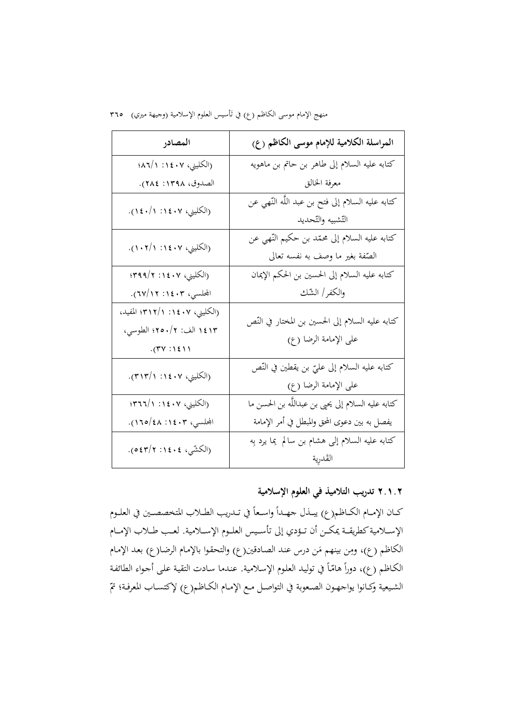منهج الإمام موسى الكاظم (ع) في تأسيس العلوم الإسلامية (وجيهة ميري) ٣٦٥

| المصادر                                                                         | المراسلة الكلامية للإمام موسى الكاظم (ع)                                           |
|---------------------------------------------------------------------------------|------------------------------------------------------------------------------------|
| (الكليني، ١٤٠٧: ١/٢٨٦؛                                                          | كتابه عليه السلام إلى طاهر بن حاتم بن ماهويه                                       |
| الصدوق، ١٣٩٨: ٢٨٤).                                                             | معرفة الخالق                                                                       |
| (الكليني، ١٤٠٧: ١١٤٠/١).                                                        | كتابه عليه السلام إلى فتح بن عبد اللَّه النَّهي عن<br>التّشبيه والتّحديد           |
| (الكليني، ١٤٠٧: ١/٢٠١).                                                         | كتابه عليه السلام إلى محمّد بن حكيم النّهي عن<br>الصِّفة بغير ما وصف به نفسه تعالى |
| (الكليني، ٢٠٤٠٧: ٣٩٩/٢؛                                                         | كتابه عليه السلام إلى الحسين بن الحكم الإيمان                                      |
| المحلسي، ١٤٠٣: ١٢/٢٧).                                                          | والكفر/ الشّك                                                                      |
| (الكليني، ١٤٠٧: ٣١٢/١)؛ المفيد،<br>١٤١٣ الف: ٢/٥٠/٢؛ الطوسي،<br>$.$ (۳۷ : ۱٤١١) | كتابه عليه السلام إلى الحسين بن المختار في النّص<br>على الإمامة الرضا (ع)          |
| (الكليني، ١٤٠٧: ٣١٣/١).                                                         | كتابه عليه السلام إلى عليٍّ بن يقطين في النَّص<br>على الإمامة الرضا (ع)            |
| (الكليني، ١٤٠٧: ٢١:١/٣٦٦)                                                       | كتابه عليه السلام إلى يحيى بن عبداللَّه بن الحسن ما                                |
| المجلسي، ۱٤٠٣: ٤٨/١٦٥).                                                         | يفصل به بين دعوى المحق والمبطل في أمر الإمامة                                      |
| (الكشّي، ١٤٠٤: ٥٤٣/٢).                                                          | كتابه عليه السلام إلى هشام بن سالم ٍ بِما يرد بِه<br>القدرية                       |

## **۲.۱.۲ تدريب التلاميذ في العلوم الإسلامية**

كــان الإمــام الكــاظم(ع) يبــذل جهــدأ واسـعاً في تــدريب الطــلاب المتخصصـين في العلــوم الإســلامية كطريقــة يمكــن أن تــؤدي إلى تأسـيس العلــوم الإســلامية. لعــب طــلاب الإمــام الكاظم (ع)، ومِن بينهم مَن درس عند الصادقين(ع) والتحقوا بالإمام الرضا(ع) بعد الإمام الكـاظم (ع)، دوراً هامّاً في توليد العلوم الإسلامية. عندما سـادت التقية على أجـواء الطائفة الشـيعية وكــانوا يواجـهـون الصـعوبة في التواصـل مـع الإمــام الكــاظم(ع) لإكتســاب المعرفـة؛ تمّ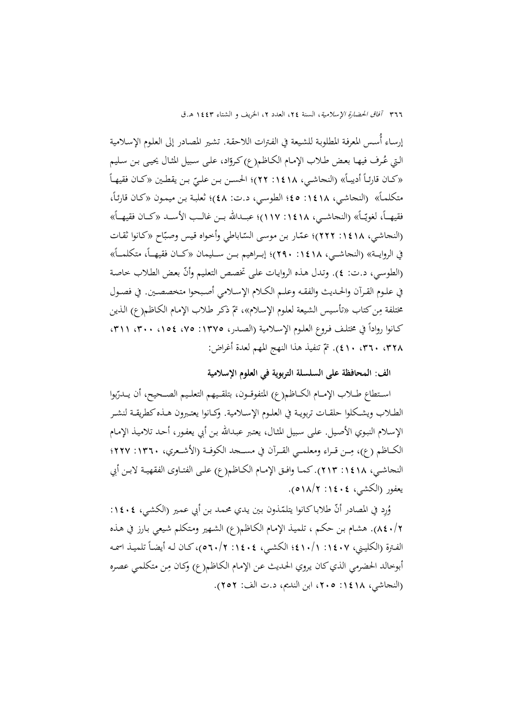إرسـاء أُسـس المعرفـة المطلوبـة للشـيعة في الفـترات اللاحقـة. تشـير المصـادر إلى العلـوم الإسـلامية الـتي عُـرف فيهـا بعـض طـلاب الإمـام الكـاظـم(ع) كـروّاد، علـى سـبيل المثـال يحيـى بـن سـليم «كـان قارئـاً أديبـاً» (النجاشـي، ١٤١٨: ٢٢)؛ الحسـن بـن علـيّ بـن يقطـين «كـان فقيهـاً<br>م متكلمـاً» (النجاشـي، ١٤١٨: ٤٥؛ الطوسـي، د.ت: ٤٨)؛ ثعلبـة بـن ميمـون «كـان قارئـاً، فقيهــاً، لغويّــاً» (النجاشــي، ١٤١٨: ١١٧)؛ عبــدالله بــن غالــب الأســد «كــان فقيهــاً» (النجاشي، ١٤١٨: ٢٢٢)؛ عمّـار بن موسى السّـاباطي وأحواه قيس وصبّاح «كانوا ثقـات في الروايــة» (النجاشــي، ١٤١٨: ٢٩٠)؛ إبــراهيم بــن ســليمان «كــان فقيهــاً، متكلمــاً» ). وتـدل هـذه الروايـات علـى تخصـص التعلـيم ّوأن (الطوسـي، د.ت: 4 بعـض الطـلاب خاصـة في علــوم القــرآن والحــديث والفقــه وعلــم الكــلام الإســلامي أصــبحوا متخصصــين. في فصــول مختلفة مِن كتاب «تأسيس الشيعة لعلوم الإسلام»، تمّ ذكر طلاب الإمام الكاظم(ع) الذين كـانوا رواداً في مختلـف فـروع العلـوم الإسـلامية (الصـدر، ١٣٧٥: ٧٥، ٢٠١، ٣٠١، ٣١١) ٣٢٨، ٣٦٠، ٤١٠). تمّ تنفيذ هذا النهج المهم لعدة أغراض:

#### **الف: المحافظة على السلسلة التربوية في العلوم الإسلامية**

اسـتطاع طـــلاب الإمـــام الكـــاظم(ع) المتفوقــون، بتلقـيهم التعلـيم الصــحيح، أن يــدرّبوا الطــلاب ويشـكلوا حلقــات تربويــة في العلـوم الإســلامية. وكــانوا يعتــبرون هــذه كطريقــة لنشــر الإسـلام النبـوي الأصـيل. علـى سـبيل المثـال، يعتـبر عبـداالله بـن أبي يعفـور، أحـد تلاميـذ الإمـام الكــاظم (ع)، مِــن قــراء ومعلمــي القــرآن في مســجد الكوفــة (الأشــعري، ١٣٦٠: ٢٢٧؛ النجاشــي، :1418 213). كمــا وافــق الإمــام الكــاظم(ع) علــى الفتــاوى الفقهيــة لابــن أبي يعفور (الكشي، ١٤٠٤: ١٨/٢م).

وُرِد في المصادر أنّ طلاباكانوا يتلمّذون بين يدي محمد بن أبي عمير (الكشي، ١٤٠٤: 840/2). هشـام بـن حكـم ، تلميـذ الإمـام الكـاظم(ع) الشـهير ومـتکلم شـيعي بـارز في هـذه الفترة (الكليـني، ١٤٠٧: ١٠/١٤١ الكشـي، ١٤٠٤: ٥٦٠/٢)، كـان لـه أيضـاً تلميـذ اسمـه أبوخالد الحضرمي الذي كان يروي الحديث عن الإمام الكاظم(ع) وكـان مِن متكلمي عصره (النجاشي، :1418 ،205 ابن النديم، د.ت الف: 252).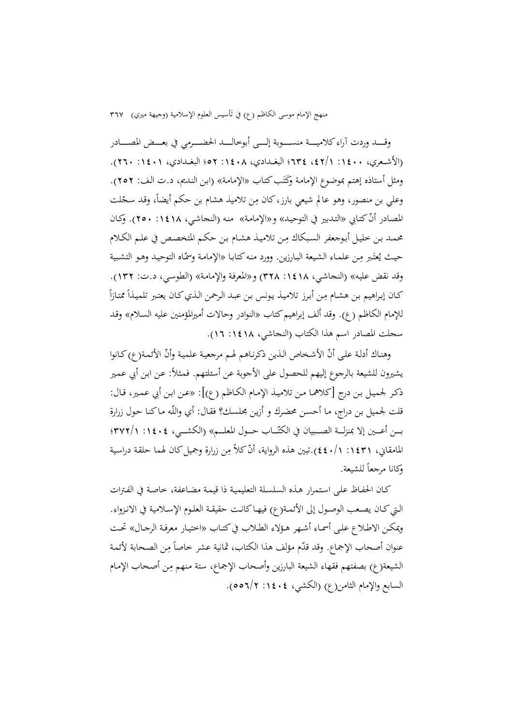منهج الإمام موسى الكاظم (ع) في تَأسيس العلوم الإسلامية (وجيهة ميري) ٣٦٧

وقـــــد وردت آراء کلاميـــــة منســـــوبة إلــــي أبوخالــــد الحضــــرمي في بعـــض المصــــادر (الأشــعري، :1400 ،42/1 634؛ البغــدادي، :1408 52؛ البغــدادي، :1401 260). ومثل أستاذه إهتم بموضوع الإمامة وكُتَب كتاب «الإمامة» (ابن النديم، د.ت الف: ٢٥٢).<br>-وعلي بن منصور، وهو عالم شيعي بارز، کان مِن تلاميذ هشام بن حکم أيضاً، وقد سجّلت المصادر أنّ كتـابي «التـدبير في التوحيـد» و«الإمامـة» منـه (النحاشـي، ١٤١٨: ٢٥٠). وكـان محمـد بـن خليـل أبـوجعفر السبكاك مِـن تلاميـذ هشـام بـن حكـم المتخصـص في علـم الكـلام حيث يُعتَبر مِن علماء الشيعة البارزين. وورد منه كتابـا «الإمامـة وسمّـاه التوحيـد وهـو التشبية وقد نقض عليـه» (النجاشـي، :1418 328) و«المعرفـة والإمامـة» (الطوسـي، د.ت: 132).  $\overline{a}$ كـان إبراهيم بن هشـام مِن أبرز تلاميـذ يونس بن عبـد الرحمن الـذي كـان يعتبر تلميـذاً ممتـازاً للإمام الكاظم (ع). وقد ألف إبراهيم كتاب «النوادر وحالات أميرالمؤمنين عليه السـلام» وقـد سجلت المصادر اسم هذا الكتاب (النجاشي، :1418 16).

وهناك أدلة على أنّ الأشخاص الذين ذكرناهم لهم مرجعية علمية وأنّ الأئمة(ع) كـانوا يشيرون للشيعة بالرجوع إليهم للحصول على الأجوبة عن أسئلتهم. فمثلاً: عن ابن أبي عمير ذكـر لجميـل بـن درج [كلاهمـا مـن تلاميـذ الإمـام الكـاظم (ع)]: «عـن ابـن أبي عمـير، قـال: قلت لجميل بـن دراج، مـا أحسـن محضـرك و أزيـن مجلسـك؟ فقـال: أي واللّـه مـاكنـا حـول زرارة بـــن أعـــين إلا بمنزلـــة الصـــبيان في الكتّـــاب حـــول المعلـــم» (الكشـــي، ١٤٠٤: ٣٧٢/١)؛ المامقاني، ١٤٣١: ١/٤٤٠).تبين هذه الرواية، أنّ كلاً مِن زرارة وجميل كان لهما حلقة دراسية وكانا مرجعا ً للشيعة.

كـان الحفـاظ علـى اسـتمرار هـذه السلسـلة التعليميـة ذا قيمـة مضـاعفة، خاصـة في الفـترات الــتيکــان يصــعب الوصــول إلى الأئمــة(ع) فيهــاکانــت حقيقــة العلــوم الإســلامية في الانــزواء. ويمكـن الاطـلاع علـى أسمــاء أشـهر هـؤلاء الطـلاب فيكتــاب «اختيـار معرفـة الرجـال» تحــت عنوان أصحاب الإجماع. وقد قدّم مؤلف هذا الكتاب، ثمانية عشر خاصاً مِن الصحابة لأئمة الشيعة(ع) بصفتهم فقهاء الشيعة البارزين وأصحاب الإجماع، ستة منهم مِن أصحاب الإمام السابع والإمام الثامن(ع) (الکشي، :1404 556/2).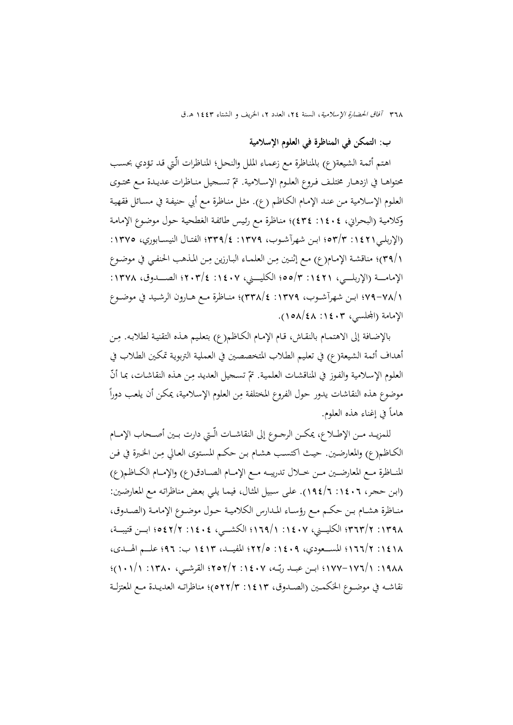**ب: التمكن في المناظرة في العلوم الإسلامية** 

اهـتم أئمـة الشـيعة(ع) بالمنـاظرة مـع زعمـاء الملـل والنحـل؛ المنـاظرات الّـتي قـد تـؤدي بحسـب محتواهــا في ازدهــار مختلـف فـروع العلـوم الإســلامية. تمّ تســجيل منــاظرات عديـدة مــع محتـوى العلـوم الإسـلامية مـن عنـد الإمـام الكـاظم (ع). مثـل منـاظرة مـع أبي حنيفـة في مسـائل فقهيـة وکلاميـة (البحـراني، :1404 434)؛ منـاظرة مـع رئـيس طائفـة الغطحيـة حـول موضـوع الإمامـة (الإربلــي:1421 53/3؛ ابــن شهرآشــوب، :1379 339/4؛ الفتــال النيســابوري، :1375 ١/٣٩)؛ مناقشة الإمـام(ع) مـع إثنـين مِـن العلمـاء البـارزين مِـن المـذهب الحنفـي في موضـوع الإمامـــة (الإربلـــي، :1٤٢١ = ٥٥/٣؛ الكليـــني، ١٤٠٧؛ الصــــــدوق، ١٣٧٨: 79-78/1؛ ابــن شهرآشــوب، :1379 338/4)؛ منــاظرة مــع هــارون الرشــيد في موضــوع الإمامة (اجمللسي، :1403 158/48).

بالإضـافة إلى الاهتمـام بالنقـاش، قـام الإمـام الكـاظـم(ع) بتعليـم هـذه التقنيـة لطلابـه. مِـن أهداف أئمة الشـيعة(ع) في تعلـيم الطـلاب المتخصصـين في العمليـة التربويـة تمكـين الطـلاب في العلوم الإسلامية والفوز في المناقشات العلمية. تمّ تسحيل العديد مِن هذه النقاشات، بما أنّ موضوع هذه النقاشات يدور حول الفروع المختلفة مِن العلوم الإسلامية، يمكن أن يلعب دوراً هاما في إغناء هذه العلوم. ً

للمزيــد مــن الإطــلاع، يمكــن الرجــوع إلى النقاشــات الّــتي دارت بــين أصــحاب الإمــام الكـاظم(ع) والمعارضـين. حيـث اكتسـب هشـام بـن حكـم المستوى العـالي مِـن الخـبرة في فـن المنـــاظرة مـــع المعارضـــين مـــن خـــلال تدريبـــه مـــع الإمـــام الصـــادق(ع) والإمـــام الكـــاظم(ع) (ابـن حجـر، :1406 194/6). علـى سـبيل المثـال، فيمـا يلـي بعـض مناظراتـه مـع المعارضـين: منــاظرة هشــام بــن حكــم مــع رؤســاء المــدارس الکلاميــة حــول موضــوع الإمامــة (الصــدوق، :1398 363/2؛ الکليــــني، :1407 169/1؛ الکشــــي، :1404 542/2؛ ابــــن قتيبــــة، :1418 166/2؛ المســــعودي، :1409 22/5؛ المفيــــد، 1413 ب: 96؛ علــــم الهــــدی، ١٩٨٨ : ١/٧٧-١٧٧-١٧٧؛ ابـن عبــد ربّـه، ١٤٠٧ : ٢٥٢/٢؛ القرشــي، ١٣٨٠: ١/١٠١/١)؛ نقاشــه في موضــوع الحَكمــين (الصــدوق، ١٤١٣ : ٥٢٢/٣)؛ مناظراتــه العديــدة مــع المعتزلــة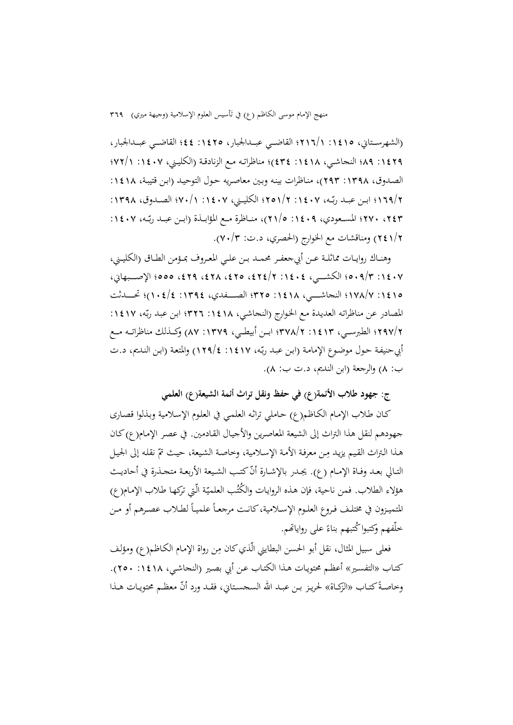منهج الإمام موسى الكاظم (ع) في تأسيس العلوم الإسلامية (وجيهة ميري) ٣٦٩

(الشهرســتاني، ١٤١٥: ١٢١٦/١ القاضــي عبـــدالجبار، ١٤٢٥: ٤٤؛ القاضــي عبــدالجبار، :1429 89؛ النجاشــي، :1418 434)؛ مناظراتــه مــع الزنادقــة (الکليــني، :1407 72/1؛ الصـدوق، ١٣٩٨: ٢٩٣)، منـاظرات بينـه وبـين معاصريه حـول التوحيـد (ابـن قتيبـة، ١٤١٨: بــن عبــد رب ، :1407 251/2؛ الکليــني، :1407 70/1؛ الصــدوق، :1398 ّ 169/2؛ ا ــه بـــن عبـــد رب ، :1407 ّ ،243 270؛ المســـعودي، :1409 21/5)، منـــاظرة مـــع المؤابـــذة (ا ـــه 241/2) ومناقشات مع الخوارج (الحصري، د.ت: 70/3).

وهنــاك روايــات مماثلــة عــن أبيجعفــر محمــد بــن علــي المعــروف بمــؤمن الطــاق (الکليــني، :1407 509/3؛ الکشـــــي، :1404 ،424/2 ،425 ،428 ،429 555؛ الإصـــــبهاني، :1415 178/7؛ النجاشــــــي، :1418 325؛ الصــــــفدي، :1394 104/4)؛ تحــــــدثت المصادر عن مناظراته العديدة مع الخوارج (النجاشي، ١٤١٨: ٣٢٦؛ ابن عبد ربّه، ١٤١٧: 297/2؛ الطبرســـي، :1413 378/2؛ ابـــن أبيطـــي، :1379 87) وكـــذلك مناظراتـــه مـــع أبيحنيفة حول موضوع الإمامة (ابن عبد ربّه، ١٤١٧: ١٢٩/٤) والمتعة (ابن النـديم، د.ت ب: 8) والرجعة (ابن النديم، د.ت ب: 8).

**ج: جهود طلاب الأئمة(ع) في حفظ ونقل تراث أئمة الشيعة(ع) العلمي** 

كـان طـلاب الإمـام الکـاظم(ع) حـاملي تراثـه العلمـي في العلـوم الإسـلامية وبـذلوا قصـاری جهودهم لنقل هذا التراث إلى الشيعة المعاصـرين والأجيـال القـادمين. في عصـر الإمـام(ع) کـان هـذا التراث القيم يزيـد مِـن معرفـة الأمـة الإسـلامية، وخاصـة الشيعة، حيـث تمّ نقله إلى الجيـل التـالي بعـد وفـاة الإمـام (ع). يجـدر بالإشـارة أنّ كتـب الشـيعة الأربعـة متجـذرة في أحاديـث ـ هؤلاء الطلاب. فمن ناحية، فإن هذه الروايات والكُتُب العلميّة الّتي تركها طلاب الإمام(ع) المتميزون في مختلـف فـروع العلـوم الإســلامية،كانـت مرجعـاً علميـاً لطــلاب عصـرهم أو مـن ً خلّفهم وكتبوا كُتبهم بناءً على رواياتهم.

فعلى سبيل المثال، نقل أبو الحسن البطايني الّذي كان مِن رواة الإمـام الكـاظم(ع) ومؤلف كتـاب «التفسـير» أعظـم محتويـات هـذا الكتـاب عـن أبي بصـير (النجاشـي، :1418 250). وخاصـةً كتـاب «الزكـاة» لحريـز بـن عبـد الله السجسـتاني، فقـد ورد أنّ معظـم محتويـات هـذا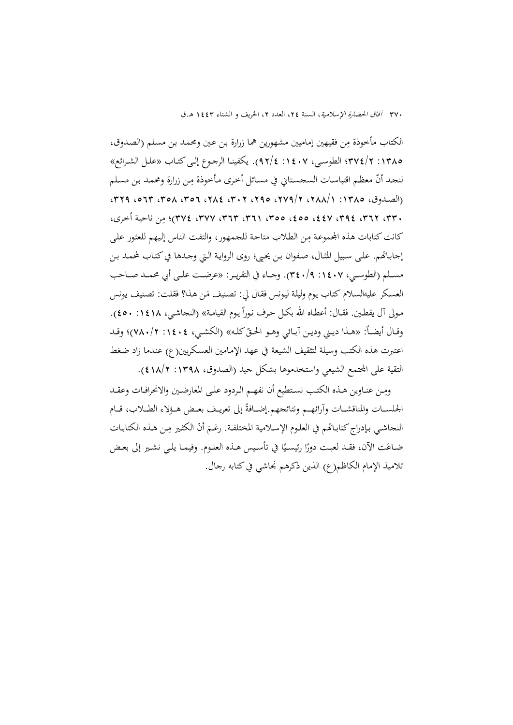الكتاب مأخوذة مِن فقيهين إماميين مشهورين هما زرارة بـن عـين ومحمـد بـن مسـلم (الصـدوق، :1385 374/2؛ الطوســي، :1407 92/4). يکفينــا الرجــوع إلــیكتــاب «علــل الشــرائع» لنجد أنّ معظم اقتباسات السحستاني في مسائل أخرى مأخوذة مِن زرارة ومحمد بن مسلم  $(1384 107 179)$  (الصلدوق، 1480) ،1747، 1748 ،297 ،289 ،377) ،289 ،379 ،379 ، ٣٣، ٣٦٢، ٤٤٧، ٤٤٥، ٤٥٥، ٣٥٥، ٣٦٢، ٣٧٢، ٣٧٤؛ مِن ناحية أخرى، كانت كتابات هذه المحموعـة مِن الطلاب متاحـة للجمهور، والتفت الناس إليهم للعثور على إجابـاتهم. علمي سبيل المثـال، صـفوان بـن يحـي؛ روى الروايـة الـتي وجـدها في كتـاب لمحمـد بـن مســـلم (الطوســـي، :1407 340/9). وجـــاء في التقريـــر: «عرضـــت علـــى أبي محمـــد صـــاحب العسكر عليهالسلام كتـاب يوم وليلة ليونس فقـال لي: تصنيف مَن هـذا؟ فقلت: تصنيف يونس مـولي آل يقطـين. فقـال: أعطـاه الله بكـل حـرف نـوراً يـوم القيامـة» (النجاشـي، ١٤١٨: ٤٥٠). وقـال أيضــاً: «هــذا ديـني وديـن آبــائي وهـو الحـقّ كلـه» (الكشـي، ١٤٠٤: ٧٨٠/٢)؛ وقـد اعتبرت هذه الكتب وسيلة لتثقيف الشيعة في عهد الإمـامين العسـكريين(ع) عنـدما زاد ضـغط التقية على المجتمع الشيعي واستخدموها بشكل جيد (الصدوق، ١٣٩٨: ١٨/٢).

ومِـن عنـاوين هـذه الكتـب نسـتطيع أن نفهـم الـردود علـى المعارضـين والانحرافـات وعقـد الجلســات والمناقشــات وآرائهــم ونتائجهم.إضــافةً إلى تعريــف بعــض هـؤلاء الطــلاب، قــام النجاشي بـإدراج كتابـاتّمم في العلـوم الإسـلامية المختلفـة. رغـمَ أنّ الكثـير مِـن هـذه الكتابـات ضـاعَت الآن، فقـد لعبـت دورًا رئيسيًا في تأسيس هــذه العلـوم. وفيمـا يلـي نشـير إلى بعـض ً تلاميذ الإمام الكاظم(ع) الذين ذكرهم نجاشي فيكتابه رجال.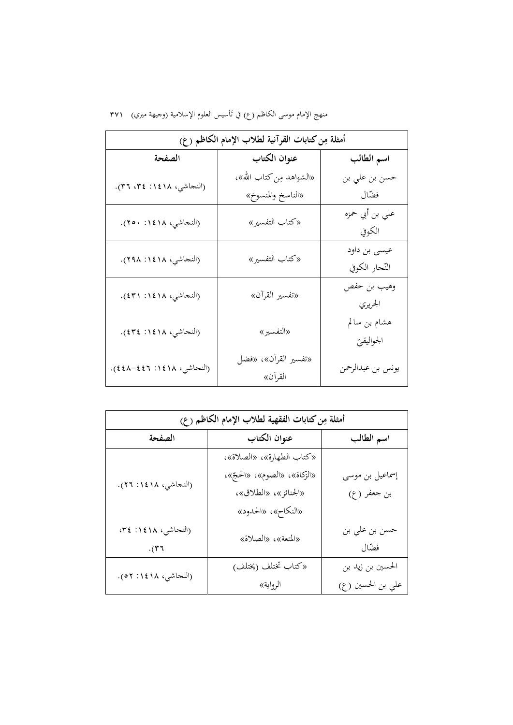منهج الإمام موسى الكاظم (ع) في تَأسيس العلوم الإسلامية (وجيهة ميري) ٣٧١

|                           | أمثلة مِن كتابات القرآنية لطلاب الإمام الكاظم (ع) |                   |
|---------------------------|---------------------------------------------------|-------------------|
| الصفحة                    | عنوان الكتاب                                      | اسم الطالب        |
| (النجاشي، ١٤١٨: ٣٤، ٣٦).  | «الشواهد مِن كتاب الله»،                          | حسن بن علي بن     |
|                           | «الناسخ والمنسوخ»                                 | فضّال             |
| (النجاشي، ١٤١٨: ٢٥٠).     | «كتاب التفسير»                                    | على بن أبي حمزه   |
|                           |                                                   | الكوفي            |
| (النجاشي، ١٤١٨: ٢٩٨).     | «كتاب التفسير»                                    | عیسی بن داود      |
|                           |                                                   | النّجار الكوفي    |
| (النجاشي، ١٤١٨: ٤٣١).     | «تفسير القرآن»                                    | وهيب بن حفص       |
|                           |                                                   | الجريري           |
|                           |                                                   | هشام بن سالم      |
| (النجاشي، ١٤١٨: ٤٣٤).     | «التفسير»                                         | الجواليقيّ        |
| (النحاشي، ١٤١٨: ٤٤٦-٤٤٨). | «تفسير القرآن»، «فضل                              |                   |
|                           | القرآن»                                           | يونس بن عبدالرحمن |

**أمثلة م (ع) ِنكتابات الفقهية لطلاب الإمام الكاظم اسم الطالب عنوان الکتاب الصفحة** إسماعيل بن موسی بن جعفر (ع) «کتاب الطهارة»، «الصلاة»، الحج»، ّ «الزکاة»، «الصوم»، « «الجنائز»، «الطلاق»، «النکاح»، «الحدود» (النجاشي، :1418 26). حسن بن علي بن فضال (النجاشي، :1418 ،34 «المتعة»، «الصلاة» ّ .(36 الحسين بن زيد بن علي بن الحسين (ع) «کتاب تختلف (يختلف) (النجاشي، :<sup>1418</sup> <sup>52</sup>). الرواية»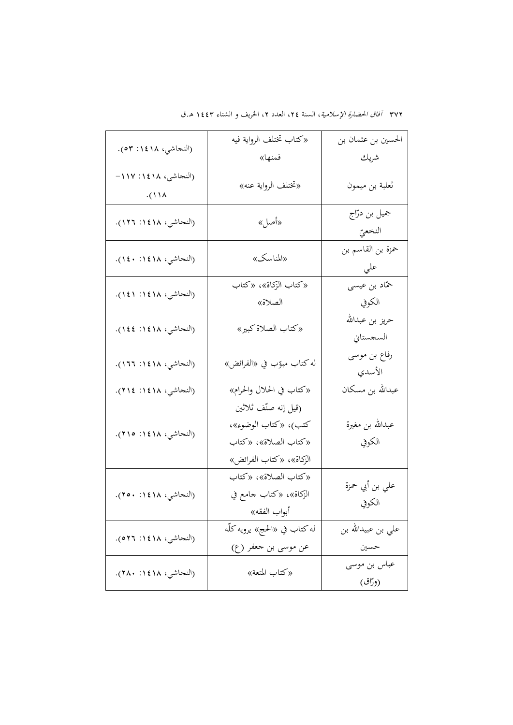|                                               | «كتاب تختلف الرواية فيه                                                                         | الحسين بن عثمان بن           |
|-----------------------------------------------|-------------------------------------------------------------------------------------------------|------------------------------|
| (النجاشي، ١٤١٨: ٥٣).                          | فمنها»                                                                                          | شريك                         |
| (النجاشي، ١٤١٨: ١١٧-<br>$\cdot$ (11 $\lambda$ | «تختلف الرواية عنه»                                                                             | ثعلبة بن ميمون               |
| (النجاشي، ١٤١٨: ١٢٦).                         | «أصل»                                                                                           | جميل بن درّاج<br>النخعيّ     |
| (النجاشي، ١٤١٨: ١٤٠).                         | «المناسك»                                                                                       | حمزة بن القاسم بن<br>على     |
| (النجاشي، ١٤١٨: ١٤١).                         | «كتاب الزكاة»، «كتاب<br>الصلاة»                                                                 | حمّاد بن عيسى<br>الكوفي      |
| (النجاشي، ١٤١٨: ١٤٤).                         | «كتاب الصلاة كبير»                                                                              | حريز بن عبدالله<br>السجستاني |
| (النجاشي، ١٤١٨: ١٦٦).                         | له كتاب مبوّب في «الفرائض»                                                                      | رفاع بن موسى<br>الأسدي       |
| (النجاشي، ١٤١٨؛ ٢١٤).                         | «كتاب في الحلال والحرام»                                                                        | عبدالله بن مسكان             |
| (النجاشي، ١٤١٨: ٢١٥).                         | (قيل إنه صنّف ثلاثين<br>كتب)، «كتاب الوضوء»،<br>«كتاب الصلاة»، «كتاب<br>الزكاة»، «كتاب الفرائض» | عبدالله بن مغيرة<br>الكوفي   |
| (النجاشي، ١٤١٨: ٢٥٠).                         | «كتاب الصلاة»، «كتاب<br>الزكاة»، «كتاب جامع في<br>أبواب الفقه»                                  | علي بن أبي حمزة<br>الكوفي    |
| (النجاشي، ١٤١٨: ٥٢٦).                         | له كتاب في «الحج» يرويه كلّه<br>عن موسى بن جعفر (ع)                                             | على بن عبيدالله بن<br>حسين   |
| (النجاشي، ١٤١٨: ٢٨٠).                         | «كتاب المتعة»                                                                                   | عباس بن موسى<br>(ورّاق)      |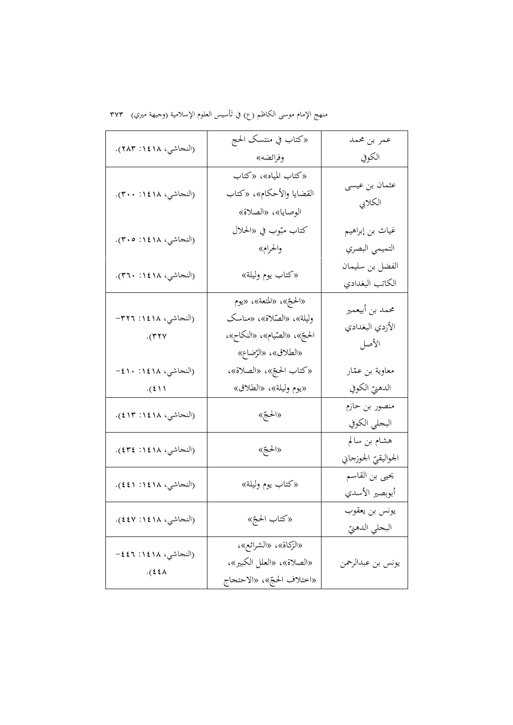منهج الإمام موسى الكاظم (ع) في تَأسيس العلوم الإسلامية (وجيهة ميري) ٣٧٣

|                                      | «كتاب في منتسك الحج                                                                                         | عمر بن محمد                                 |
|--------------------------------------|-------------------------------------------------------------------------------------------------------------|---------------------------------------------|
| (النجاشي، ١٤١٨: ٢٨٣).                | وفرائضه»                                                                                                    | الكوفي                                      |
| (النجاشي، ١٤١٨: ٣٠٠).                | «كتاب المياه»، «كتاب<br>القضايا والأحكام»، «كتاب<br>الوصايا»، «الصلاة»                                      | عثمان بن عيسى<br>الكلابي                    |
| (النجاشي، ١٤١٨: ٣٠٥).                | كتاب مبّوب في «الحلال<br>والحرام»                                                                           | غياث بن إبراهيم<br>التميمي البصري           |
| (النجاشي، ١٤١٨: ٣٦٠).                | «كتاب يوم وليلة»                                                                                            | الفضل بن سليمان<br>الكاتب البغدادي          |
| (النجاشي، ١٤١٨: ٣٢٦–<br>$\cdot$ (۳۲۷ | «الحجّ»، «المتعة»، «يوم<br>وليلة»، «الصّلاة»، «مناسك<br>الحجّ»، «الصّيام»، «النكاح»،<br>«الطلاق»، «الرّضاع» | محمد بن أبيعمير<br>الأزدي البغدادي<br>الأصل |
| (النجاشي، ١٤١٨: ١٠١٠-                | «كتاب الحجّ»، «الصلاة»،                                                                                     | معاوية بن عمّار                             |
| $\cdot$ (2))                         | «يوم وليلة»، «الطلاق»                                                                                       | الدهنيّ الكوفي                              |
| (النجاشي، ١٤١٨: ٤١٣).                | «الحجّ»                                                                                                     | منصور بن حازم<br>البحلي الكوفي              |
| (النجاشي، ١٤١٨: ٤٣٤).                | «الحجّ»                                                                                                     | هشام بن سالم<br>الحواليقيّ الجوزجاني        |
| (النجاشي، ١٤١٨: ٤٤١).                | «كتاب يوم وليلة»                                                                                            | يحيى بن القاسم<br>أبوبصير الأسدي            |
| (النجاشي، ١٤١٨: ٤٤٧).                | «كتاب الحجّ»                                                                                                | يونس بن يعقوب<br>البحلي الدهنيّ             |
| (النجاشي، ١٤١٨: ٤٤٦–<br>$.$ (٤٤٨     | «الزكاة»، «الشرائع»،<br>«الصلاة»، «العلل الكبير»،<br>«اختلاف الحجّ»، «الاحتجاج                              | يونس بن عبدالرحمن                           |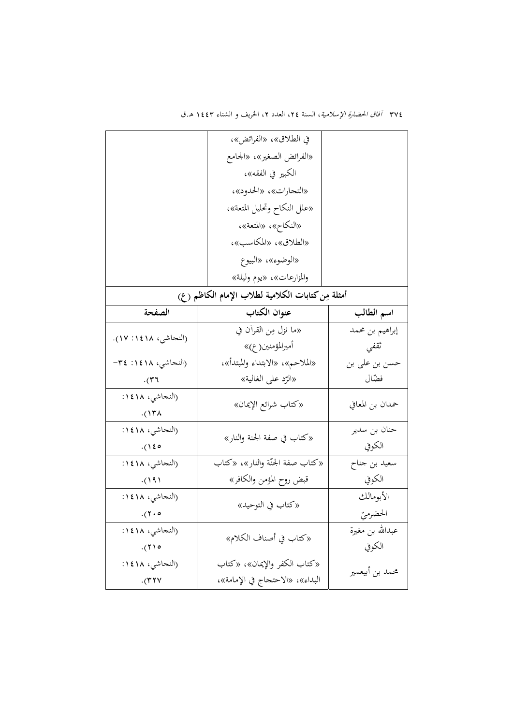|                      | في الطلاق»، «الفرائض»،                            |                  |
|----------------------|---------------------------------------------------|------------------|
|                      | «الفرائض الصغير»، «الجامع                         |                  |
|                      | الكبير في الفقه»،                                 |                  |
|                      | «التجارات»، «الحدود»،                             |                  |
|                      | «علل النكاح وتحليل المتعة»،                       |                  |
|                      | «النكاح»، «المتعة»،                               |                  |
|                      | «الطلاق»، «المكاسب»،                              |                  |
|                      | «الوضوء»، «البيوع                                 |                  |
|                      | والمزارعات»، «يوم وليلة»                          |                  |
|                      | أمثلة مِن كتابات الكلامية لطلاب الإمام الكاظم (ع) |                  |
| الصفحة               | عنوان الكتاب                                      | اسم الطالب       |
|                      | «ما نزل مِن القرآن في                             | إبراهيم بن محمد  |
| (النجاشي، ١٤١٨: ١٧). | أميرالمؤمنين( ع)»                                 | ثقفي             |
| (النجاشي، ١٤١٨: ٣٤-  | «الملاحم»، «الابتداء والمبتدأ»،                   | حسن بن علي بن    |
| $\cdot$ (۳۶          | «الرّد على الغالية»                               | فضّال            |
| (النجاشي، ١٨١:       | «كتاب شرائع الإيمان»                              | حمدان بن المعافي |
| $.$ (1۳۸             |                                                   |                  |
| (النجاشي، ١٨١:       | «كتاب في صفة الجنة والنار»                        | حنان بن سدير     |
| (150)                |                                                   | الكوفي           |
| (النجاشي، ١٨١:       | «كتاب صفة الجنّة والنار»، «كتاب                   | سعيد بن جناح     |
| (19)                 | قبض روح المؤمن والكافر»                           | الكوفي           |
| (النحاشي، ١٨١٤:      | «كتاب في التوحيد»                                 | الأبومالك        |
| $(7 \cdot 8)$        |                                                   | الحضرميّ         |
| (النحاشي، ١٨١:       | «كتاب في أصناف الكلام»                            | عبدالله بن مغيرة |
| . (710)              |                                                   | الكوفي           |
| (النجاشي، ١٨١٤:      | «كتاب الكفر والإيمان»، «كتاب                      | محمد بن أبيعمير  |
| $\cdot$ (۳۲۷         | البداء»، «الاحتحاج في الإمامة»،                   |                  |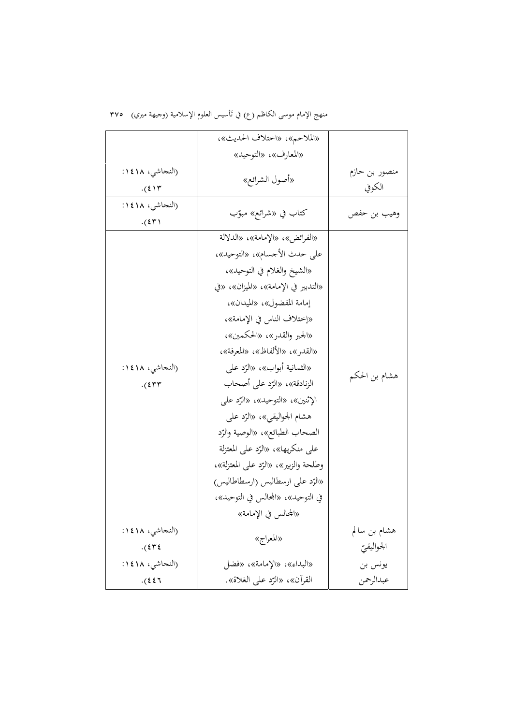منهج الإمام موسى الكاظم (ع) في تَأسيس العلوم الإسلامية (وجيهة ميري) ٣٧٥

|                               | «الملاحم»، «اختلاف الحديث»،                                                                                                                                                                                                                                                                                                                                                                                                                                                                                                                                                                                           |                            |
|-------------------------------|-----------------------------------------------------------------------------------------------------------------------------------------------------------------------------------------------------------------------------------------------------------------------------------------------------------------------------------------------------------------------------------------------------------------------------------------------------------------------------------------------------------------------------------------------------------------------------------------------------------------------|----------------------------|
|                               | «المعارف»، «التوحيد»                                                                                                                                                                                                                                                                                                                                                                                                                                                                                                                                                                                                  |                            |
| (النجاشي، ١٨١:<br>$.$ $(514)$ | «أصول الشرائع»                                                                                                                                                                                                                                                                                                                                                                                                                                                                                                                                                                                                        | منصور بن حازم<br>الكوفي    |
| (النجاشي، ١٨١:<br>$.$ $(5T)$  | كتاب في «شرائع» مبوّب                                                                                                                                                                                                                                                                                                                                                                                                                                                                                                                                                                                                 | وهيب بن حفص                |
| (النجاشي، ١٨١:<br>$.$ $(577)$ | «الفرائض»، «الإمامة»، «الدلالة<br>على حدث الأجسام»، «التوحيد»،<br>«الشيخ والغلام في التوحيد»،<br>«التدبير في الإمامة»، «الميزان»، «في<br>إمامة المفضول»، «الميدان»،<br>«إختلاف الناس في الإمامة»،<br>«الجبر والقدر»، «الحكمين»،<br>«القدر»، «الألفاظ»، «المعرفة»،<br>«الثمانية أبواب»، «الرّد على<br>الزنادقة»، «الرّد على أصحاب<br>الإثنين»، «التوحيد»، «الرّد على<br>هشام الجواليقي»، «الرّد علي<br>الصحاب الطبائع»، «الوصية والرّد<br>على منكريها»، «الرّد على المعتزلة<br>وطلحة والزبير»، «الرّد على المعتزلة»،<br>«الرّد على ارسطاليس (ارسطاطاليس)<br>في التوحيد»، «المحالس في التوحيد»،<br>«المحالس في الإمامة» | هشام بن الحكم              |
| (النجاشي، ١٨١:<br>$.$ $(575)$ | «المعراج»                                                                                                                                                                                                                                                                                                                                                                                                                                                                                                                                                                                                             | هشام بن سالم<br>الجواليقيّ |
| (النجاشي، ١٨١:                | «البداء»، «الإمامة»، «فضل                                                                                                                                                                                                                                                                                                                                                                                                                                                                                                                                                                                             | يونس بن                    |
| $.$ (22).                     | القرآن»، «الرّد على الغلاة».                                                                                                                                                                                                                                                                                                                                                                                                                                                                                                                                                                                          | عبدالرحمن                  |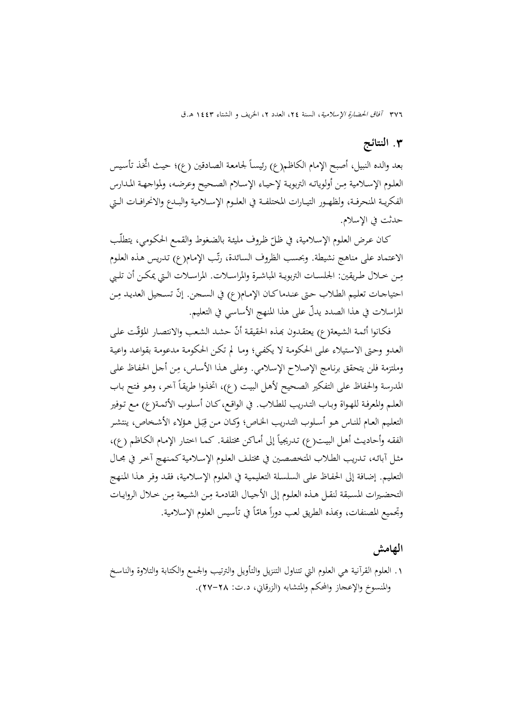### **.**3 **النتائج**

بعد والده النبيل، أصبح الإمام الكاظم(ع) رئيساً لجامعة الصادقين (ع)؛ حيث اتّخذ تأسيس العلـوم الإسـلامية مِـن أولوياتـه التربويـة لإحيـاء الإسـلام الصـحيح وعرضـه، ولمواجهـة المـدارس الفكريــة المنحرفــة، ولظهــور التيــارات المختلفــة في العلــوم الإســلامية والبــدع والانحرافــات الــتي حدثت في الإسلام.

كـان عـرض العلوم الإسـلامية، في ظـلّ ظـروف مليئـة بالضغوط والقمـع الحكـومي، يتطلّب الاعتماد على مناهج نشيطة. وبحسب الظروف السائدة، رتّب الإمام(ع) تدريس هذه العلوم مِـن خـلال طـريقين: الحلســات التربويـة المباشـرة والمراسـلات. المراسـلات الـتي يمكـن أن تلـبي احتياجـات تعليم الطـلاب حتى عنـدماكـان الإمـام(ع) في السـجن. إنّ تسـجيل العديـد مِن المراسلات في هذا الصدد يدلّ على هذا المنهج الأساسي في التعليم.

فكـانوا أئمـة الشيعة(ع) يعتقدون بهذه الحقيقـة أنّ حشـد الشعب والانتصار المؤقّت على العـدو وحـتى الاسـتيلاء علـى الحكومـة لا يكفـي؛ ومـا لم تكـن الحكومـة مدعومـة بقواعـد واعيـة ِ وملتزمة فلن يتحقق برنـامج الإصـلاح الإسـلامي. وعلـى هـذا الأسـاس، ـن أجـل الحفـاظ علـى م المدرسة والحفاظ على التفكير الصحيح لأهل البيت (ع)، اتخذوا طريقاً آخر، وهو فتح باب العلـم والمعرفـة للهـواة وبـاب التـدريب للطـلاب. في الواقـع،كـان أسـلوب الأئمـة(ع) مـع تـوفير التعليم العـام للنـاس هـو أسـلوب التـدريب الخـاص؛ وكـان مـن قِبَـل هـؤلاء الأشـخاص، ينتشـر ب الفقه وأحاديث أهـل البيت(ع) تـدريجياً إلى أمـاكن مختلفـة. كمـا اختـار الإمـام الكـاظم (ع)، مثـل آبائـه، تـدريب الطـلاب المتخصصـين في مختلـف العلـوم الإسـلامية كـمـنهج آخـر في مجـال التعلـيم. إضـافة إلى الحفـاظ علـى السلسـلة التعليميـة في العلـوم الإسـلامية، فقـد وفـر هـذا المـنهج التحضيرات المسبقة لنقـل هـذه العلـوم إلى الأجيـال القادمـة مِـن الشـيعة مِـن خـلال الروايـات وتجميع المصنفات، وبَمذه الطريق لعب دوراً هامّاً في تأسيس العلوم الإسلامية.

#### **الهامش**

.1 العلوم القرآنية هي العلوم التي تتناول التنزيل والتأويل والترتيب والجمع والكتابة والتلاوة والناسـخ والمنسوخ والإعجاز والمحکم والمتشابه (الزرقاني، د.ت: 27-28).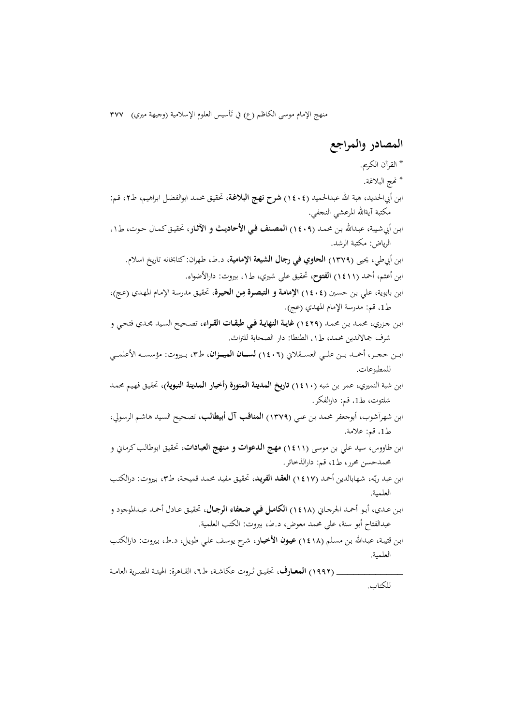منهج الإمام موسى الكاظم (ع) في تَأسيس العلوم الإسلامية (وجيهة ميري) ٣٧٧

**المصادر والمراجع**  \* القرآن الکريم. \* Ĕج البلاغة. ابن أبيالحديد، هبة االله عبدالحميد (1404) **شرح نهـج البلاغـة**، تحقيـق محمـد ابوالفضـل ابـراهيم، ط،2 قـم: مکتبة آيةاالله المرعشي النجفي. ابـن أبيشـيبة، عبـداالله بـن محمـد (1409) **المصـنف فـي الأحاديـث و الآثـار**، تحقيـقکمـال حـوت، ط،۱ الرياض: مکتبة الرشد. ابن أبيطي، يحيی (1379) **الحاوي في رجال الشيعة الإمامية**، د.ط، طهران: کتابخانه تاريخ اسلام. ابن أعثم، أحمد (1411) **الفتوح**، تحقيق علي شيري، ط،۱ بيروت: دارالأضواء. **الإمامـة و التبصـرة م** ، تحقيـق مدرسـة الإمـام المهـدي (عـج)، **ِ** ابن بابوية، علي بـن حسـين (1404) **ـن الحيـرة** ط،1 قم: مدرسة الإمام المهدي (عج). ابـن جـزري، محمـد بـن محمـد (1429) **غايـة النهايـة فـي طبقـات القـراء**، تصـحيح السـيد مجـدي فتحـي و شرف جمالالدين محمد، ط،۱ الطنطا: دار الصحابة للتراث. ابـــن حجـــر، أحمـــد بـــن علـــي العســـقلاني (1406) **لســـان الميـــزان**، ط،3 بـــيروت: مؤسســـه الأعلمـــي للمطبوعات. ابن شبة النميري، عمر بن شبه (1410) **تاريخ المدينة المنورة (أخبار المدينة النبوية)**، تحقيـق فهـيم محمـد شلتوت، ط،1 قم: دارالفکر. ابن شهرآشوب، أبوجعفر محمد بـن علـي (1379) **المناقـب آل أبيطالـب**، تصـحيح السـيد هاشـم الرسـولي، ط،1 قم: علامة. ابن طاووس، سيد علي بن موسى (1411) **مهـج الـدعوات و مـنهج العبـادات**، تحقيـق ابوطالـبکرمـاني و محمدحسن محرر، ط،1 قم: دارالذخائر. بن عبد رب ، شـهابالدين أحمـد (1417) **العقـد الفريـد**، تحقيـق مفيـد محمـد قميحـة، ط،<sup>3</sup> بـيروت: درالکتـب ّ ا ـه العلمية. ابـن عـدي، أبـو أحمـد الجرجـاني (1418) **الکامــل فــي ضــعفاء الرجــال**، تحقيـق عـادل أحمـد عبـدالموجود و عبدالفتاح أبو سنة، علي محمد معوض، د.ط، بيروت: الکتب العلمية. ابـن قتيبـة، عبـداالله بـن مسـلم (1418) **عيـون الأخبـار**، شـرح يوسـف علـي طويـل، د.ط، بـيروت: دارالکتـب العلمية. \_\_\_\_\_\_\_\_\_\_\_\_ (1992) **المعــارف**، تحقيــق ثــروت عکاشــة، ط،6 القــاهرة: الهيئــة المصــرية العامــة للکتاب.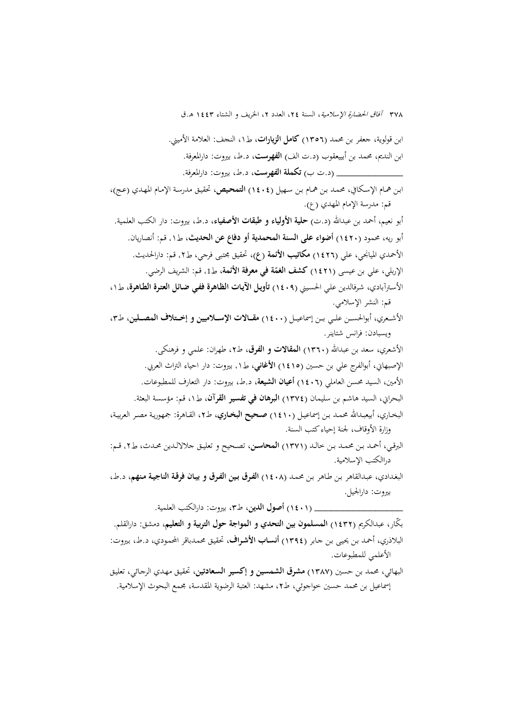ابن قولوية، جعفر بن محمد (1356) **کامل الزيارات**، ط،۱ النجف: العلامة الأميني. ابن النديم، محمد بن أبييعقوب (د.ت الف) **الفهرست**، د.ط، بيروت: دارالمعرفة. \_\_\_\_\_\_\_\_\_\_\_\_ (د.ت ب) **تکملة الفهرست**، د.ط، بيروت: دارالمعرفة.

ابـن همـام الإسـكافي، محمـد بـن همـام بـن سـهيل (1404) **التمحـيص**، تحقيـق مدرسـة الإمـام المهـدي (عـج)، قم: مدرسة الإمام المهدي (ع).

أبو نعيم، أحمد بن عبداالله (د.ت) **حلية الأولياء و طبقات الأصفياء**، د.ط، بيروت: دار الکتب العلمية. أبو ريه، محمود (1420) **أضواء علی السنة المحمدية أو دفاع عن الحديث**، ط،۱ قم: أنصاريان. الأحمدي الميانجي، علي (1426) **مکاتيب الأئمة (ع)**، تحقيق مجتبی فرجي، ط،۲ قم: دارالحديث. **کشف الغم** ، ط،1 قم: الشريف الرضي. **ّ** الإربلي، علي بن عيسی (1421) **ة في معرفة الأئمة**

الأسـترآبادي، شـرفالدين علـي الحسـيني (1409) **تأويـل الآيـات الظـاهرة ففـي ضـائل العتـرة الطـاهرة**، ط،۱ قم: النشر الإسلامي.

الأشـــعري، أبوالحســـن علـــي بـــن إسماعيـــل (1400) **مقـــالات الإســـلاميين و إخـــتلاف المصـــلين**، ط،3 ويسبادن: فرانس شتاينر.

الأشعري، سعد بن عبداالله (1360) **المقالات و الفرق**، ط،2 طهران: علمي و فرهنکی. الإصبهاني، أبوالفرج علي بن حسين (1415) **الأغاني**، ط،۱ بيروت: دار احياء التراث العربي. الأمين، السيد محسن العاملي (1406) **أعيان الشيعة**، د.ط، بيروت: دار التعارف للمطبوعات. البحراني، السيد هاشم بن سليمان (1374) **البرهان في تفسير القرآن**، ط،۱ قم: مؤسسة البعثة. البخـاري، أبيعبـداالله محمـد بـن إسماعيـل (1410) **صـحيح البخــاري**، ط،2 القـاهرة: جمهوريـة مصـر العربيـة،

وزارة الأوقاف، لجنة إحياءکتب السنة.

البرقــي، أحمــد بــن محمــد بــن خالــد (1371) **المحاســن**، تصــحيح و تعليــق جلالالــدين محــدث، ط،۲ قــم: دراالکتب الإسلامية.

البغـدادي، عبـدالقاهر بـن طـاهر بـن محمـد (1408) **الفـرق بـين الفـرق و بيـان فرقـة الناجيـة مـنهم**، د.ط، بيروت: دارالجيل.

\_\_\_\_\_\_\_\_\_\_\_\_\_\_\_\_ (1401) **أصول الدين**، ط،3 بيروت: دارالکتب العلمية.

ّ بکار، عبدالکريم (1432) **المسلمون بين التحدي و المواجة حول التربية و التعليم**، دمشق: دارالقلم. البلاذري، أحمـد بـن يحيـی بـن جـابر (1394) **أنسـاب الأشـراف**، تحقيـق محمـدباقر المحمـودي، د.ط، بـيروت: الأعلمي للمطبوعات.

البهائي، محمد بن حسين (1387) **مشرق الشمسين و إکسير السـعادتين**، تحقيـق مهـدي الرجـائي، تعليـق إسماعيل بن محمد حسين خواجوئي، ط٢، مشهد: العتبة الرضوية المقدسة، مجمع البحوث الإسلامية.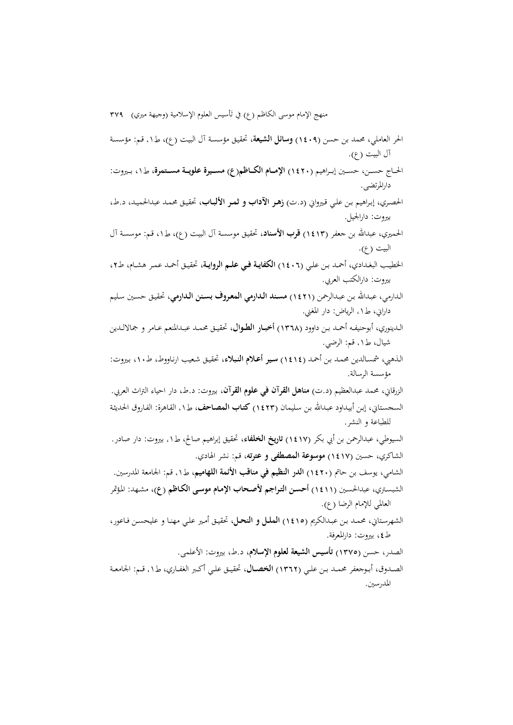منهج الإمام موسى الكاظم (ع) في تَأسيس العلوم الإسلامية (وجيهة ميري) ٣٧٩ الحر العاملي، محمد بن حسن (1409) **وسائل الشيعة**، تحقيـق مؤسسـة آل البيـت (ع)، ط،۱ قـم: مؤسسـة آل البيت (ع). الحـــاج حســـن، حســـين إبـــراهيم (1420) **الإمـــام الکـــاظم(ع) مســـيرة علويـــة مســـتمرة**، ط،۱ بـــيروت: دارالمرتضی. الحصـري، إبـراهيم بـن علـي قـيرواني (د.ت) **زهـر الآداب و ثمـر الألبـاب**، تحقيـق محمـد عبدالحميـد، د.ط، بيروت: دارالجيل. الحميري، عبداالله بن جعفر (1413) **قرب الأسناد**، تحقيـق موسسـة آل البيـت (ع)، ط،۱ قـم: موسسـة آل البيت (ع). الخطيــب البغــدادي، أحمــد بــن علــي (1406) **الکفايــة فــي علــم الروايــة**، تحقيــق أحمــد عمــر هشــام، ط،2 بيروت: دارالکتب العربي. الـدارمي، عبـداالله بـن عبـدالرحمن (1421) **مسـند الـدارمي المعـروف بسـنن الـدارمي**، تحقيـق حسـين سـليم داراني، ط،۱ الرياض: دار المغني. الــدينوري، أبوحنيفــه أحمــد بــن داوود (1368) **أخبــار الطــوال**، تحقيــق محمــد عبــدالمنعم عــامر و جمالالــدين شيال، ط،۱ قم: الرضي. الـذهبي، شمسـالدين محمـد بـن أحمـد (1414) **سـير أعـلام النـبلاء**، تحقيـق شـعيب ارنـاووط، ط،10 بـيروت: مؤسسة الرسالة. الزرقاني، محمد عبدالعظيم (د.ت) **مناهل القرآن في علوم القرآن**، بيروت: د.ط، دار احياء التراث العربي. السجسـتاني، إبـن أبيـداود عبـداالله بـن سـليمان (1423) **کتـاب المصـاحف**، ط،۱ القـاهرة: الفـاروق الحديثـة للطباعة و النشر. السيوطي، عبدالرحمن بن أبي بکر (1417) **تاريخ الخلفاء**، تحقيق إبراهيم صالح، ط،۱ بيروت: دار صادر. الشاکري، حسين (1417) **موسوعة المصطفی و عترته**، قم: نشر الهادي. الشامي، يوسف بن حاتم (1420) **الدر النظيم في مناقب الأئمة اللهاميم**، ط،۱ قم: الجامعة المدرسين. الشبسـتري، عبدالحسـين (1411) **أحسـن التـراجم لأصـحاب الإمـام موسـی الکـاظم (ع)**، مشـهد: المـؤتمر العالمي للإمام الرضا (ع). الشهرسـتاني، محمـد بـن عبـدالکريم (1415) **الملــل و النحــل**، تحقيـق أمـير علـي مهنـا و عليحسـن فـاعور، ط، بيروت: دارالمعرفة. الصدر، حسن (1375) **تأسيس الشيعة لعلوم الإسلام**، د.ط، بيروت: الأعلمی. الصــدوق، أبــوجعفر محمــد بــن علــي (1362) **الخصــال**، تحقيــق علــي أکــبر الغفــاري، ط،۱ قــم: الجامعــة المدرسين.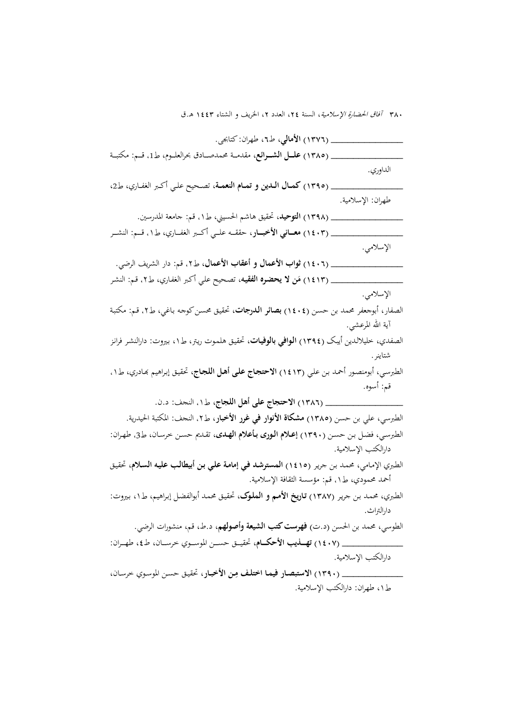| ِ (١٣٧٦) الأمالي، ط٦، طهران: كتابجي.                                                                                                     |
|------------------------------------------------------------------------------------------------------------------------------------------|
| (١٣٨٥) علـل الشـرائع، مقدمـة محدصـادق بحرالعلـوم، ط1، قـم: مكتبـة                                                                        |
| الداوري.                                                                                                                                 |
| (١٣٩٥) كمال اللين و تمام النعمة، تصحيح علي أكبر الغفاري، ط2،                                                                             |
| طهران: الإسلامية.                                                                                                                        |
| (١٣٩٨) ا <b>لتوحيد</b> ، تحقيق هاشم الحسيني، ط١. قم: جامعة المدرسين.                                                                     |
| (١٤٠٣) معــاني الأخبــار، حققــه علــي أكــبر الغفــاري، ط١. قــم: النشــر                                                               |
| الإسلامي.                                                                                                                                |
| ِ (١٤٠٦) ثواب الأعمال و أعقاب الأعمال، ط٢، قم: دار الشريف الرضي.                                                                         |
| (١٤١٣) مَ <b>ن لا يحضره الفقيه</b> ، تصحيح علي أكبر الغفاري، ط٢، قم: النشر                                                               |
| الإسلامي.                                                                                                                                |
| الصفار، أبوجعفر محمد بن حسن (١٤٠٤) بصائر الدرجات، تحقيق محسن كوجه باغي، ط٢، قم: مكتبة                                                    |
| آية الله المرعشي.                                                                                                                        |
| الصفدي، حليلالدين أيبك (١٣٩٤) ا <b>لوافي بالوفيات</b> ، تحقيق هلموت ريتر، ط١، بيروت: دارالنشر فرانز                                      |
| شتاينر.                                                                                                                                  |
|                                                                                                                                          |
| الطبرسي، أبومنصور أحمد بن علي (١٤١٣) الاحتجاج على أهل اللجاج، تحقيق إبراهيم بَمادري، ط١،                                                 |
| قم: أسوه.                                                                                                                                |
| ِ (١٣٨٦) الاحتجاج على أهل اللجاج، ط١. النحف: د.ن.                                                                                        |
| الطبرسي، علي بن حسن (١٣٨٥) <b>مشكاة الأنوار في غرر الأخبار</b> ، ط٢، النحف: المكتبة الحيدرية.                                            |
|                                                                                                                                          |
| الطبرسي، فضل بن حسن (١٣٩٠) إ <b>عـلام الـورى بـأعلام الهـدى</b> ، تقـدم حسن خرسـان، طـ3، طهـران:<br>دارالكتب الإسلامية.                  |
|                                                                                                                                          |
| الطبري الإمامي، محمد بن جرير (١٤١٥) المستوشد في إمامة علي بن أبيطالب عليه السلام، تحقيق<br>أحمد محمودي، ط١. قم: مؤسسة الثقافة الإسلامية. |
| الطبري، محمد بن حرير (١٣٨٧) <b>تاريخ الأمم و الملوك</b> ، تحقيق محمد أبوالفضل إبراهيم، ط١، بيروت:                                        |
| دارالتراث.                                                                                                                               |
| الطوسي، محمد بن الحسن (د.ت) <b>فهرست كتب الشيعة وأصولهم</b> ، د.ط، قم، منشورات الرضي.                                                    |
| <sub>-</sub> (١٤٠٧) تهـلميب الأحكــام، تحقيــق حســن الموســوي خرســان، ط٤، طهــران:                                                     |
| دارالكتب الإسلامية.                                                                                                                      |
| _ (١٣٩٠) الاستبصار فيما اختلف مِن الأخبار، تحقيق حسن الموسوي حرسان،                                                                      |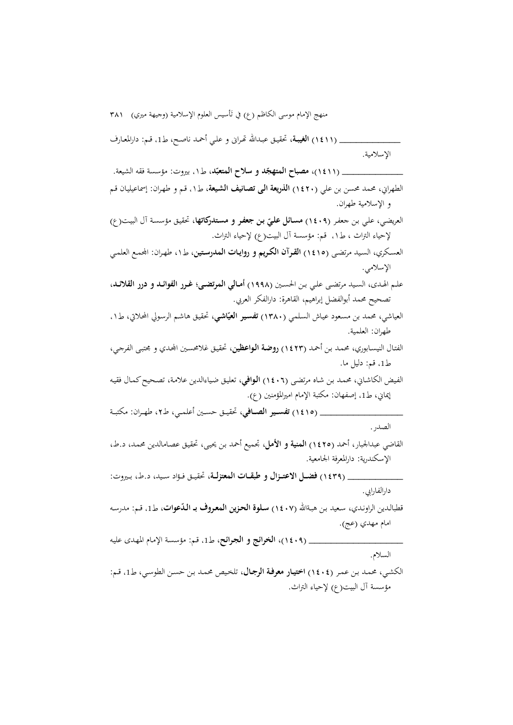منهج الإمام موسى الكاظم (ع) في تَأسيس العلوم الإسلامية (وجيهة ميري) ٣٨١ \_\_\_\_\_\_\_\_\_\_\_ (1411) **الغيبـة**، تحقيـق عبـداالله ēـرانى و علـي أحمـد ناصـح، ط،1 قـم: دارالمعـارف الإسلامية. **ّ** \_\_\_\_\_\_\_\_\_\_\_ (1411)، **د مصباح المتهج** ، ط،۱ بيروت: مؤسسة فقه الشيعة. **ّد و سلاح المتعب** الطهراني، محمد محسن بن علي (1420) **الذريعة الـی تصـانيف الشـيعة**، ط،۱ قـم و طهـران: إسماعيليـان قـم و الإسلامية طهران. العريضي، علمي بن جعفر (١**٤٠٩) مسائل عليّ بن جعفر و مستدركاتها**، تحقيق مؤسسة آل البيت(ع) لإحياء التراث ، ط،۱ قم: مؤسسة آل البيت(ع) لإحياء التراث. العسـکري، السـيد مرتضـی (1415) **القـرآن الکـريم و روايـات المدرسـتين**، ط،۱ طهـران: اجملمـع العلمـي الإسلامي. علــم الهــدی، الســيد مرتضــی علــي بــن الحســين (1998) **أمــالي المرتضــی؛ غــرر الفوائــد و درر القلائــد**، تصحيح محمد أبوالفضل إبراهيم، القاهرة: دارالفکر العربي. العياشي، محمد بن مسعود عيـاش السلمي (١٣٨٠) **تفسير العيّاشي**، تحقيق هاشـم الرسولي المحلاتي، ط1. طهران: العلمية. الفتـال النيسـابوري، محمـد بـن أحمـد (1423) **روضـة الـواعظين**، تحقيـق غلامحسـين اجملـدي و مجتبـی الفرجـي، ط1، قم: دليل ما. الفـيض الکاشـاني، محمـد بـن شـاه مرتضـی (1406) **الـوافي**، تعليـق ضـياءالدين علامـة، تصـحيحکمـال فقيـه إيماني، ط،1 إصفهان: مکتبة الإمام اميرالمؤمنين (ع). \_\_\_\_\_\_\_\_\_\_\_\_\_\_\_ (1415) **تفســير الصــافي**، تحقيــق حســين أعلمــي، ط،2 طهــران: مکتبــة الصدر. القاضي عبدالجبار، أحمد (1425) **المنية و الأمل**، تجميع أحمد بـن يحيـی، تحقيـق عصـامالدين محمـد، د.ط، الإسکندرية: دارالمعرفة الجامعية. \_\_\_\_\_\_\_\_\_\_ (1439) **فضــل الاعتــزال و طبقــات المعتزلــة**، تحقيــق فــؤاد ســيد، د.ط، بــيروت: دارالفارابي. قطبالـدين الراونـدي، سـعيد بـن هبـةالله (١**٤٠٧) سـلوة الحزين المعروف بـ الـدّعوات**، ط1، قـم: مدرسـه امام مهدي (عج). \_\_\_\_\_\_\_\_\_\_\_\_\_\_\_\_\_ (1409)، **الخرائج و الجـرائح**، ط،1 قـم: مؤسسـة الإمـام المهـدى عليـه السلام. الکشـي، محمـد بـن عمـر (1404) **اختيـار معرفـة الرجـال**، تلخـيص محمـد بـن حسـن الطوسـي، ط،1 قـم:

مؤسسة آل البيت(ع) لإحياء التراث.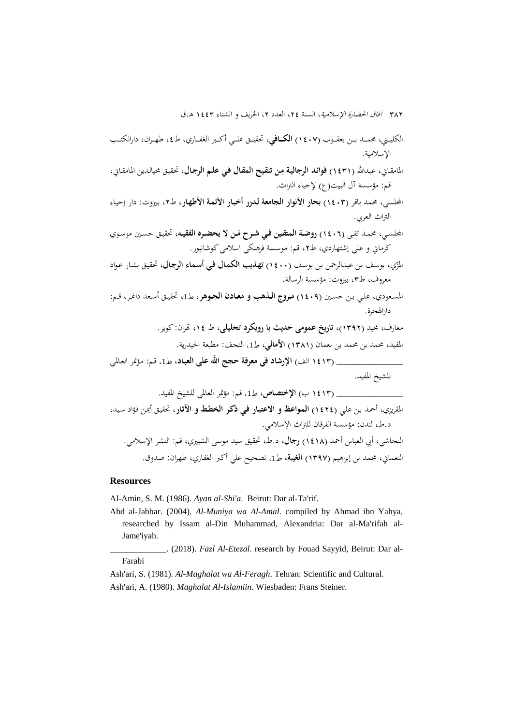الکليـــني، محمـــد بـــن يعقـــوب (1407) **الکـــافي**، تحقيـــق علـــي أکـــبر الغفـــاري، ط،4 طهـــران، دارالکتـــب الإسلامية.

**فوائـد الرجاليـة م** ، تحقيـق محيالـدين المامقـاني، **ِ** المامقـاني، عبـداالله (1431) **ـن تنقـيح المقـال فـي علـم الرجـال** قم: مؤسسة آل البيت(ع) لإحياء التراث.

- اجمللسي، محمد باقر (1403) **بحار الأنوار الجامعة لـدرر أخبـار الأئمـة الأطهـار**، ط،2 بـيروت: دار إحيـاء التراث العربي.
- **روضـة المتقـين فـي شـرح م** ، تحقيـق حسـين موسـوي **َ** اجمللسـي، محمـد تقـى (1406) **ـن لا يحضـره الفقيـه** کرماني و علي إشتهاردي، ط۲، قم: موسسة فرهنکي اسلامي کوشانبور.
- المز ، يوسـف بـن عبـدالرحمن بـن يوسـف (1400) **تهـذيب الكمـال فـي أسـماء الرجـال**، تحقيـق بشـار عـواد ّي معروف، ط،3 بيروت: مؤسسة الرسالة.
- المسـعودي، علـي بـن حسـين (1409) **مــروج الــذهب و معــادن الجــوهر**، ط،1 تحقيـق أسـعد داغـر، قـم: دارالهجرة.
	- معارف، مجيد (1392)، **تاريخ عمومی حديث با رويکرد تحليلی**، ط ،14 ēران: کوير.
		- المفيد، محمد بن محمد بن نعمان (1381) **الأمالي**، ط،1 النجف: مطبعة الحيدرية.

\_\_\_\_\_\_\_\_\_\_\_\_ (1413 الف) **الإرشاد في معرفة حجج االله علی العبـاد**، ط،1 قـم: مـؤتمر العـالمي للشيخ المفيد.

\_\_\_\_\_\_\_\_\_\_\_\_ (1413 ب) **الإختصاص**، ط،1 قم: مؤتمر العالمي للشيخ المفيد.

المقريزي، أحمـد بـن علـي (1424) **المـواعظ و الاعتبـار فـي ذکـر الخطـط و الآثـار**، تحقيـق أيمـن فـؤاد سـيد، د.ط، لندن: مؤسسة الفرقان للتراث الإسلامي. النجاشي، أبي العباس أحمد (1418) **رجال**، د.ط، تحقيق سيد موسی الشبيري، قم: النشر الإسلامي. النعماني، محمد بن إبراهيم (1397) **الغيبة**، ط،1 تصحيح علي أکبر الغفاري، طهران: صدوق.

#### **Resources**

Al-Amin, S. M. (1986). *Ayan al-Shi'a*. Beirut: Dar al-Ta'rif.

Abd al-Jabbar. (2004). *Al-Muniya wa Al-Amal*. compiled by Ahmad ibn Yahya, researched by Issam al-Din Muhammad, Alexandria: Dar al-Ma'rifah al-Jame'iyah.

\_\_\_\_\_\_\_\_\_\_\_\_\_. (2018). *Fazl Al-Etezal*. research by Fouad Sayyid, Beirut: Dar al-Farabi

Ash'ari, S. (1981)*. Al-Maghalat wa Al-Feragh*. Tehran: Scientific and Cultural. Ash'ari, A. (1980). *Maghalat Al-Islamiin*. Wiesbaden: Frans Steiner.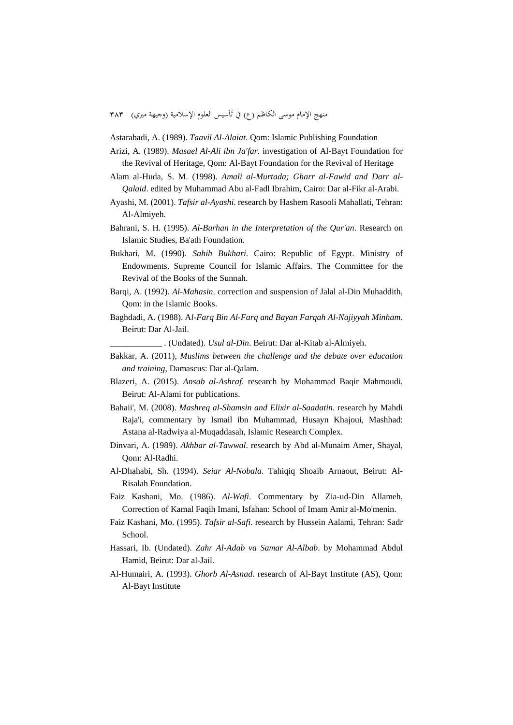منهج الإمام موسى الكاظم (ع) في تأسيس العلوم الإسلامية (وجيهة ميري) ٣٨٣

Astarabadi, A. (1989). *Taavil Al-Alaiat*. Qom: Islamic Publishing Foundation

- Arizi, A. (1989). *Masael Al-Ali ibn Ja'far*. investigation of Al-Bayt Foundation for the Revival of Heritage, Qom: Al-Bayt Foundation for the Revival of Heritage
- Alam al-Huda, S. M. (1998). *Amali al-Murtada; Gharr al-Fawid and Darr al-Qalaid*. edited by Muhammad Abu al-Fadl Ibrahim, Cairo: Dar al-Fikr al-Arabi.
- Ayashi, M. (2001). *Tafsir al-Ayashi*. research by Hashem Rasooli Mahallati, Tehran: Al-Almiyeh.
- Bahrani, S. H. (1995). *Al-Burhan in the Interpretation of the Qur'an*. Research on Islamic Studies, Ba'ath Foundation.
- Bukhari, M. (1990). *Sahih Bukhari*. Cairo: Republic of Egypt. Ministry of Endowments. Supreme Council for Islamic Affairs. The Committee for the Revival of the Books of the Sunnah.
- Barqi, A. (1992). *Al-Mahasin*. correction and suspension of Jalal al-Din Muhaddith, Qom: in the Islamic Books.
- Baghdadi, A. (1988). A*l-Farq Bin Al-Farq and Bayan Farqah Al-Najiyyah Minham*. Beirut: Dar Al-Jail.

\_\_\_\_\_\_\_\_\_\_\_\_ . (Undated). *Usul al-Din*. Beirut: Dar al-Kitab al-Almiyeh.

- Bakkar, A. (2011), *Muslims between the challenge and the debate over education and training*, Damascus: Dar al-Qalam.
- Blazeri, A. (2015). *Ansab al-Ashraf*. research by Mohammad Baqir Mahmoudi, Beirut: Al-Alami for publications.
- Bahaii', M. (2008). *Mashreq al-Shamsin and Elixir al-Saadatin*. research by Mahdi Raja'i, commentary by Ismail ibn Muhammad, Husayn Khajoui, Mashhad: Astana al-Radwiya al-Muqaddasah, Islamic Research Complex.
- Dinvari, A. (1989). *Akhbar al-Tawwal*. research by Abd al-Munaim Amer, Shayal, Qom: Al-Radhi.
- Al-Dhahabi, Sh. (1994). *Seiar Al-Nobala*. Tahiqiq Shoaib Arnaout, Beirut: Al-Risalah Foundation.
- Faiz Kashani, Mo. (1986). *Al-Wafi*. Commentary by Zia-ud-Din Allameh, Correction of Kamal Faqih Imani, Isfahan: School of Imam Amir al-Mo'menin.
- Faiz Kashani, Mo. (1995). *Tafsir al-Safi*. research by Hussein Aalami, Tehran: Sadr School.
- Hassari, Ib. (Undated). *Zahr Al-Adab va Samar Al-Albab*. by Mohammad Abdul Hamid, Beirut: Dar al-Jail.
- Al-Humairi, A. (1993). *Ghorb Al-Asnad*. research of Al-Bayt Institute (AS), Qom: Al-Bayt Institute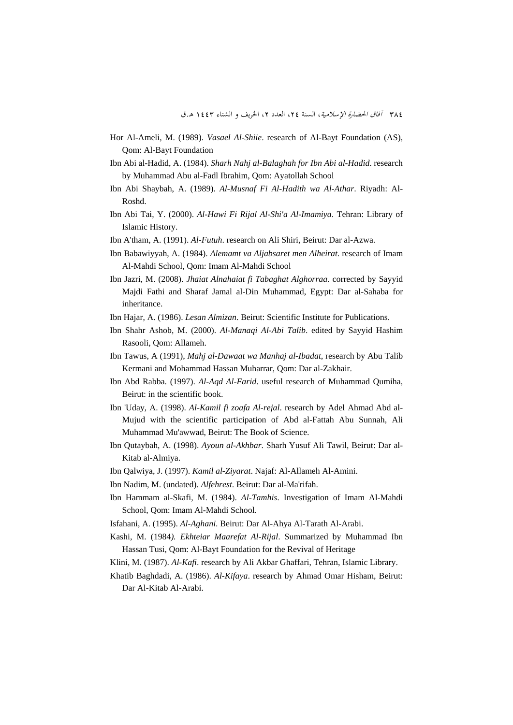- Hor Al-Ameli, M. (1989). *Vasael Al-Shiie*. research of Al-Bayt Foundation (AS), Qom: Al-Bayt Foundation
- Ibn Abi al-Hadid, A. (1984). *Sharh Nahj al-Balaghah for Ibn Abi al-Hadid*. research by Muhammad Abu al-Fadl Ibrahim, Qom: Ayatollah School
- Ibn Abi Shaybah, A. (1989). *Al-Musnaf Fi Al-Hadith wa Al-Athar*. Riyadh: Al-Roshd.
- Ibn Abi Tai, Y. (2000). *Al-Hawi Fi Rijal Al-Shi'a Al-Imamiya*. Tehran: Library of Islamic History.
- Ibn A'tham, A. (1991). *Al-Futuh*. research on Ali Shiri, Beirut: Dar al-Azwa.
- Ibn Babawiyyah, A. (1984). *Alemamt va Aljabsaret men Alheirat*. research of Imam Al-Mahdi School, Qom: Imam Al-Mahdi School
- Ibn Jazri, M. (2008). *Jhaiat Alnahaiat fi Tabaghat Alghorraa.* corrected by Sayyid Majdi Fathi and Sharaf Jamal al-Din Muhammad, Egypt: Dar al-Sahaba for inheritance.
- Ibn Hajar, A. (1986). *Lesan Almizan*. Beirut: Scientific Institute for Publications.
- Ibn Shahr Ashob, M. (2000). *Al-Manaqi Al-Abi Talib*. edited by Sayyid Hashim Rasooli, Qom: Allameh.
- Ibn Tawus, A (1991), *Mahj al-Dawaat wa Manhaj al-Ibadat*, research by Abu Talib Kermani and Mohammad Hassan Muharrar, Qom: Dar al-Zakhair.
- Ibn Abd Rabba. (1997). *Al-Aqd Al-Farid*. useful research of Muhammad Qumiha, Beirut: in the scientific book.
- Ibn 'Uday, A. (1998). *Al-Kamil fi zoafa Al-rejal*. research by Adel Ahmad Abd al-Mujud with the scientific participation of Abd al-Fattah Abu Sunnah, Ali Muhammad Mu'awwad, Beirut: The Book of Science.
- Ibn Qutaybah, A. (1998). *Ayoun al-Akhbar*. Sharh Yusuf Ali Tawil, Beirut: Dar al-Kitab al-Almiya.
- Ibn Qalwiya, J. (1997). *Kamil al-Ziyarat*. Najaf: Al-Allameh Al-Amini.
- Ibn Nadim, M. (undated). *Alfehrest*. Beirut: Dar al-Ma'rifah.
- Ibn Hammam al-Skafi, M. (1984). *Al-Tamhis*. Investigation of Imam Al-Mahdi School, Qom: Imam Al-Mahdi School.
- Isfahani, A. (1995). *Al-Aghani*. Beirut: Dar Al-Ahya Al-Tarath Al-Arabi.
- Kashi, M. (1984*). Ekhteiar Maarefat Al-Rijal*. Summarized by Muhammad Ibn Hassan Tusi, Qom: Al-Bayt Foundation for the Revival of Heritage
- Klini, M. (1987). *Al-Kafi*. research by Ali Akbar Ghaffari, Tehran, Islamic Library.
- Khatib Baghdadi, A. (1986). *Al-Kifaya*. research by Ahmad Omar Hisham, Beirut: Dar Al-Kitab Al-Arabi.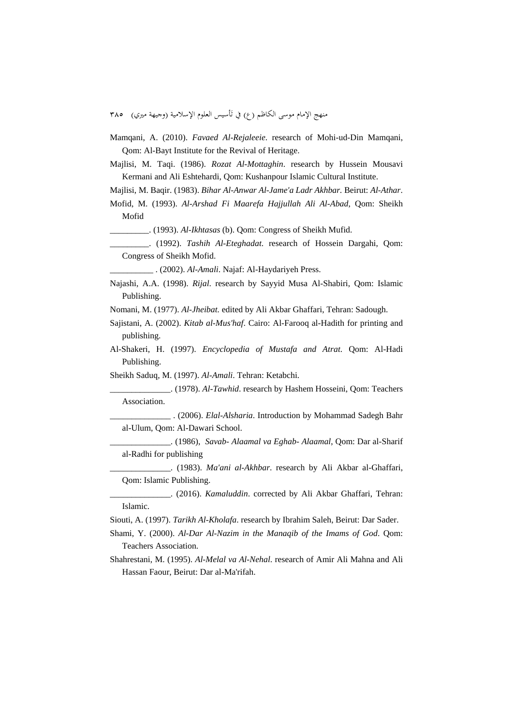منهج الإمام موسى الكاظم (ع) في تأسيس العلوم الإسلامية (وجيهة ميري) ٣٨٥

Mamqani, A. (2010). *Favaed Al-Rejaleeie*. research of Mohi-ud-Din Mamqani, Qom: Al-Bayt Institute for the Revival of Heritage.

Majlisi, M. Taqi. (1986). *Rozat Al-Mottaghin*. research by Hussein Mousavi Kermani and Ali Eshtehardi, Qom: Kushanpour Islamic Cultural Institute.

Majlisi, M. Baqir. (1983). *Bihar Al-Anwar Al-Jame'a Ladr Akhbar.* Beirut: *Al-Athar*.

Mofid, M. (1993). *Al-Arshad Fi Maarefa Hajjullah Ali Al-Abad*, Qom: Sheikh Mofid

\_\_\_\_\_\_\_\_\_. (1993). *Al-Ikhtasas* (b). Qom: Congress of Sheikh Mufid.

\_\_\_\_\_\_\_\_\_. (1992). *Tashih Al-Eteghadat*. research of Hossein Dargahi, Qom: Congress of Sheikh Mofid.

\_\_\_\_\_\_\_\_\_\_ . (2002). *Al-Amali*. Najaf: Al-Haydariyeh Press.

Najashi, A.A. (1998). *Rijal*. research by Sayyid Musa Al-Shabiri, Qom: Islamic Publishing.

Nomani, M. (1977). *Al-Jheibat.* edited by Ali Akbar Ghaffari, Tehran: Sadough.

- Sajistani, A. (2002). *Kitab al-Mus'haf*. Cairo: Al-Farooq al-Hadith for printing and publishing.
- Al-Shakeri, H. (1997). *Encyclopedia of Mustafa and Atrat*. Qom: Al-Hadi Publishing.

Sheikh Saduq, M. (1997). *Al-Amali*. Tehran: Ketabchi.

\_\_\_\_\_\_\_\_\_\_\_\_\_\_. (1978). *Al-Tawhid*. research by Hashem Hosseini, Qom: Teachers Association.

\_\_\_\_\_\_\_\_\_\_\_\_\_\_ . (2006). *Elal-Alsharia*. Introduction by Mohammad Sadegh Bahr al-Ulum, Qom: Al-Dawari School.

- \_\_\_\_\_\_\_\_\_\_\_\_\_\_. (1986), *Savab- Alaamal va Eghab- Alaamal*, Qom: Dar al-Sharif al-Radhi for publishing
- \_\_\_\_\_\_\_\_\_\_\_\_\_\_. (1983). *Ma'ani al-Akhbar*. research by Ali Akbar al-Ghaffari, Qom: Islamic Publishing.

\_\_\_\_\_\_\_\_\_\_\_\_\_\_. (2016). *Kamaluddin*. corrected by Ali Akbar Ghaffari, Tehran: Islamic.

Siouti, A. (1997). *Tarikh Al-Kholafa*. research by Ibrahim Saleh, Beirut: Dar Sader.

- Shami, Y. (2000). *Al-Dar Al-Nazim in the Manaqib of the Imams of God*. Qom: Teachers Association.
- Shahrestani, M. (1995). *Al-Melal va Al-Nehal*. research of Amir Ali Mahna and Ali Hassan Faour, Beirut: Dar al-Ma'rifah.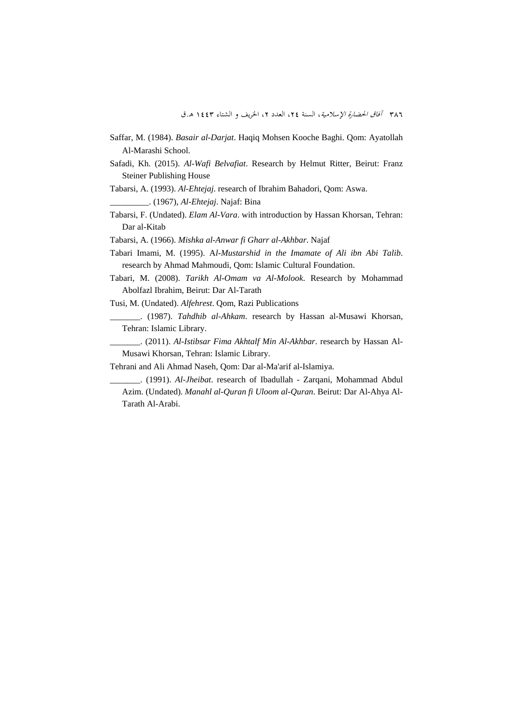- Saffar, M. (1984). *Basair al-Darjat*. Haqiq Mohsen Kooche Baghi. Qom: Ayatollah Al-Marashi School.
- Safadi, Kh. (2015). *Al-Wafi Belvafiat*. Research by Helmut Ritter, Beirut: Franz Steiner Publishing House
- Tabarsi, A. (1993). *Al-Ehtejaj*. research of Ibrahim Bahadori, Qom: Aswa.

\_\_\_\_\_\_\_\_\_. (1967), *Al-Ehtejaj*. Najaf: Bina

- Tabarsi, F. (Undated). *Elam Al-Vara*. with introduction by Hassan Khorsan, Tehran: Dar al-Kitab
- Tabarsi, A. (1966). *Mishka al-Anwar fi Gharr al-Akhbar*. Najaf
- Tabari Imami, M. (1995). A*l-Mustarshid in the Imamate of Ali ibn Abi Talib*. research by Ahmad Mahmoudi, Qom: Islamic Cultural Foundation.
- Tabari, M. (2008). *Tarikh Al-Omam va Al-Molook*. Research by Mohammad Abolfazl Ibrahim, Beirut: Dar Al-Tarath
- Tusi, M. (Undated). *Alfehrest*. Qom, Razi Publications
- \_\_\_\_\_\_\_. (1987). *Tahdhib al-Ahkam*. research by Hassan al-Musawi Khorsan, Tehran: Islamic Library.
- \_\_\_\_\_\_\_. (2011). *Al-Istibsar Fima Akhtalf Min Al-Akhbar*. research by Hassan Al-Musawi Khorsan, Tehran: Islamic Library.

Tehrani and Ali Ahmad Naseh, Qom: Dar al-Ma'arif al-Islamiya.

\_\_\_\_\_\_\_. (1991). *Al-Jheibat*. research of Ibadullah - Zarqani, Mohammad Abdul Azim. (Undated). *Manahl al-Quran fi Uloom al-Quran*. Beirut: Dar Al-Ahya Al-Tarath Al-Arabi.